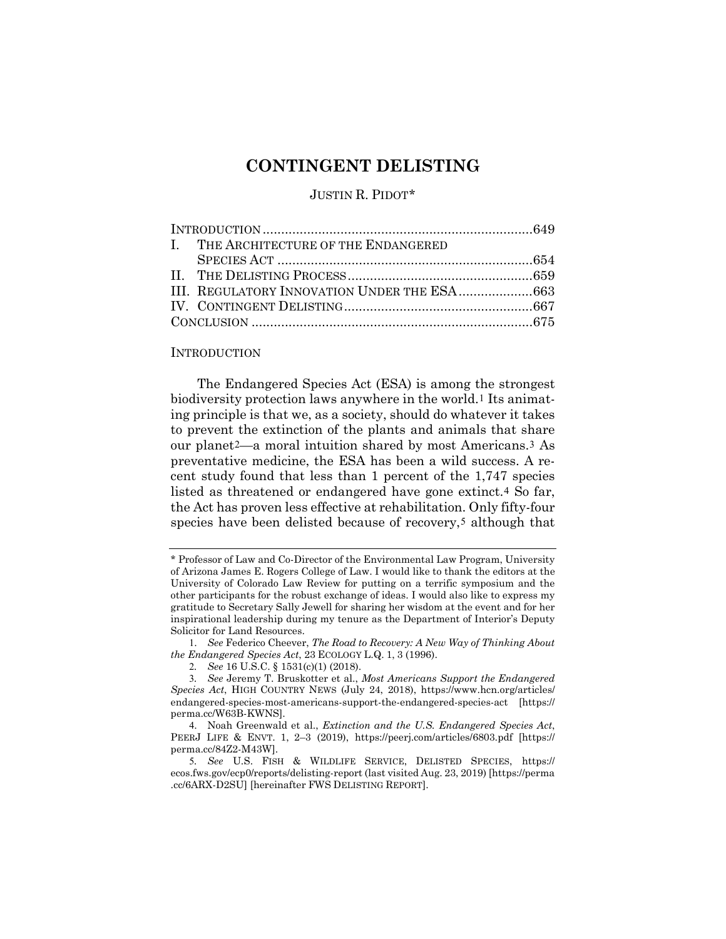# **CONTINGENT DELISTING**

# <span id="page-0-8"></span><span id="page-0-6"></span>JUSTIN R. PIDOT[\\*](#page-0-0)

| I. THE ARCHITECTURE OF THE ENDANGERED       |  |
|---------------------------------------------|--|
|                                             |  |
|                                             |  |
| III. REGULATORY INNOVATION UNDER THE ESA663 |  |
|                                             |  |
|                                             |  |
|                                             |  |

## INTRODUCTION

The Endangered Species Act (ESA) is among the strongest biodiversity protection laws anywhere in the world.[1](#page-0-1) Its animating principle is that we, as a society, should do whatever it takes to prevent the extinction of the plants and animals that share our planet[2](#page-0-2)—a moral intuition shared by most Americans.[3](#page-0-3) As preventative medicine, the ESA has been a wild success. A recent study found that less than 1 percent of the 1,747 species listed as threatened or endangered have gone extinct.[4](#page-0-4) So far, the Act has proven less effective at rehabilitation. Only fifty-four species have been delisted because of recovery,<sup>[5](#page-0-5)</sup> although that

<span id="page-0-7"></span><span id="page-0-0"></span><sup>\*</sup> Professor of Law and Co-Director of the Environmental Law Program, University of Arizona James E. Rogers College of Law. I would like to thank the editors at the University of Colorado Law Review for putting on a terrific symposium and the other participants for the robust exchange of ideas. I would also like to express my gratitude to Secretary Sally Jewell for sharing her wisdom at the event and for her inspirational leadership during my tenure as the Department of Interior's Deputy Solicitor for Land Resources.

<span id="page-0-1"></span><sup>1</sup>. *See* Federico Cheever, *The Road to Recovery: A New Way of Thinking About the Endangered Species Act*, 23 ECOLOGY L.Q. 1, 3 (1996).

<sup>2</sup>*. See* 16 U.S.C. § 1531(c)(1) (2018).

<span id="page-0-3"></span><span id="page-0-2"></span><sup>3</sup>*. See* Jeremy T. Bruskotter et al., *Most Americans Support the Endangered Species Act*, HIGH COUNTRY NEWS (July 24, 2018), https://www.hcn.org/articles/ endangered-species-most-americans-support-the-endangered-species-act [https:// perma.cc/W63B-KWNS].

<span id="page-0-4"></span><sup>4</sup>. Noah Greenwald et al., *Extinction and the U.S. Endangered Species Act*, PEERJ LIFE & ENVT. 1, 2–3 (2019), https://peerj.com/articles/6803.pdf [https:// perma.cc/84Z2-M43W].

<span id="page-0-5"></span><sup>5</sup>*. See* U.S. FISH & WILDLIFE SERVICE, DELISTED SPECIES, https:// ecos.fws.gov/ecp0/reports/delisting-report (last visited Aug. 23, 2019) [https://perma .cc/6ARX-D2SU] [hereinafter FWS DELISTING REPORT].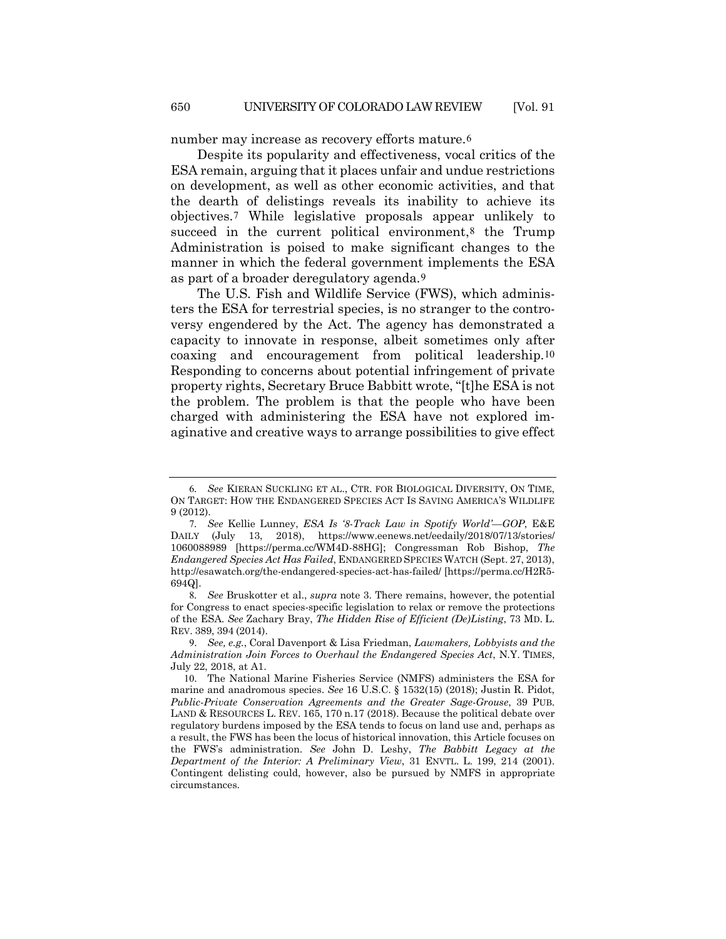<span id="page-1-7"></span>number may increase as recovery efforts mature.[6](#page-1-0)

<span id="page-1-6"></span>Despite its popularity and effectiveness, vocal critics of the ESA remain, arguing that it places unfair and undue restrictions on development, as well as other economic activities, and that the dearth of delistings reveals its inability to achieve its objectives.[7](#page-1-1) While legislative proposals appear unlikely to succeed in the current political environment,<sup>[8](#page-1-2)</sup> the Trump Administration is poised to make significant changes to the manner in which the federal government implements the ESA as part of a broader deregulatory agenda.[9](#page-1-3)

<span id="page-1-8"></span><span id="page-1-5"></span>The U.S. Fish and Wildlife Service (FWS), which administers the ESA for terrestrial species, is no stranger to the controversy engendered by the Act. The agency has demonstrated a capacity to innovate in response, albeit sometimes only after coaxing and encouragement from political leadership.[10](#page-1-4) Responding to concerns about potential infringement of private property rights, Secretary Bruce Babbitt wrote, "[t]he ESA is not the problem. The problem is that the people who have been charged with administering the ESA have not explored imaginative and creative ways to arrange possibilities to give effect

<span id="page-1-0"></span><sup>6</sup>*. See* KIERAN SUCKLING ET AL., CTR. FOR BIOLOGICAL DIVERSITY, ON TIME, ON TARGET: HOW THE ENDANGERED SPECIES ACT IS SAVING AMERICA'S WILDLIFE 9 (2012).

<span id="page-1-1"></span><sup>7</sup>*. See* Kellie Lunney, *ESA Is '8-Track Law in Spotify World'—GOP*, E&E DAILY (July 13, 2018), https://www.eenews.net/eedaily/2018/07/13/stories/ 1060088989 [https://perma.cc/WM4D-88HG]; Congressman Rob Bishop, *The Endangered Species Act Has Failed*, ENDANGERED SPECIES WATCH (Sept. 27, 2013), http://esawatch.org/the-endangered-species-act-has-failed/ [https://perma.cc/H2R5- 694Q].

<span id="page-1-2"></span><sup>8</sup>*. See* Bruskotter et al., *supra* note [3.](#page-0-6) There remains, however, the potential for Congress to enact species-specific legislation to relax or remove the protections of the ESA. *See* Zachary Bray, *The Hidden Rise of Efficient (De)Listing*, 73 MD. L. REV. 389, 394 (2014).

<span id="page-1-3"></span><sup>9</sup>. *See, e.g.*, Coral Davenport & Lisa Friedman, *Lawmakers, Lobbyists and the Administration Join Forces to Overhaul the Endangered Species Act*, N.Y. TIMES, July 22, 2018, at A1.

<span id="page-1-4"></span><sup>10</sup>. The National Marine Fisheries Service (NMFS) administers the ESA for marine and anadromous species. *See* 16 U.S.C. § 1532(15) (2018); Justin R. Pidot, *Public-Private Conservation Agreements and the Greater Sage-Grouse*, 39 PUB. LAND & RESOURCES L. REV. 165, 170 n.17 (2018). Because the political debate over regulatory burdens imposed by the ESA tends to focus on land use and, perhaps as a result, the FWS has been the locus of historical innovation, this Article focuses on the FWS's administration. *See* John D. Leshy, *The Babbitt Legacy at the Department of the Interior: A Preliminary View*, 31 ENVTL. L. 199, 214 (2001). Contingent delisting could, however, also be pursued by NMFS in appropriate circumstances.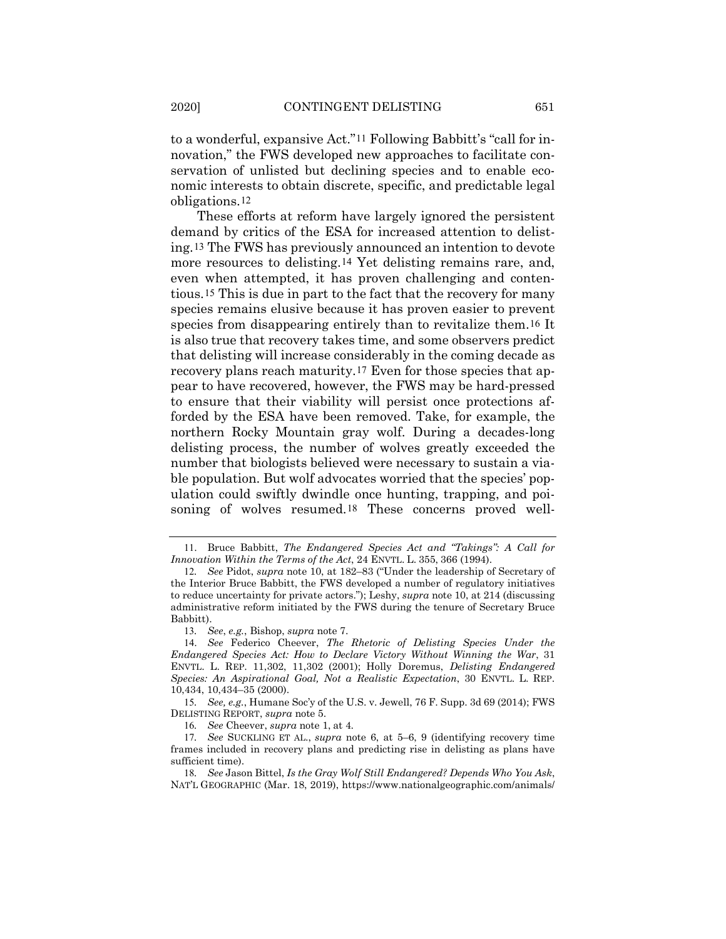<span id="page-2-11"></span>to a wonderful, expansive Act."[11](#page-2-0) Following Babbitt's "call for innovation," the FWS developed new approaches to facilitate conservation of unlisted but declining species and to enable economic interests to obtain discrete, specific, and predictable legal obligations.[12](#page-2-1)

<span id="page-2-9"></span><span id="page-2-8"></span>These efforts at reform have largely ignored the persistent demand by critics of the ESA for increased attention to delisting.[13](#page-2-2) The FWS has previously announced an intention to devote more resources to delisting.[14](#page-2-3) Yet delisting remains rare, and, even when attempted, it has proven challenging and contentious.[15](#page-2-4) This is due in part to the fact that the recovery for many species remains elusive because it has proven easier to prevent species from disappearing entirely than to revitalize them.[16](#page-2-5) It is also true that recovery takes time, and some observers predict that delisting will increase considerably in the coming decade as recovery plans reach maturity.[17](#page-2-6) Even for those species that appear to have recovered, however, the FWS may be hard-pressed to ensure that their viability will persist once protections afforded by the ESA have been removed. Take, for example, the northern Rocky Mountain gray wolf. During a decades-long delisting process, the number of wolves greatly exceeded the number that biologists believed were necessary to sustain a viable population. But wolf advocates worried that the species' population could swiftly dwindle once hunting, trapping, and poi-soning of wolves resumed.<sup>[18](#page-2-7)</sup> These concerns proved well-

16*. See* Cheever, *supra* note [1,](#page-0-8) at 4.

<span id="page-2-10"></span><span id="page-2-0"></span><sup>11</sup>. Bruce Babbitt, *The Endangered Species Act and "Takings": A Call for Innovation Within the Terms of the Act*, 24 ENVTL. L. 355, 366 (1994).

<span id="page-2-1"></span><sup>12</sup>*. See* Pidot, *supra* note [10,](#page-1-5) at 182–83 ("Under the leadership of Secretary of the Interior Bruce Babbitt, the FWS developed a number of regulatory initiatives to reduce uncertainty for private actors."); Leshy, *supra* not[e 10,](#page-1-5) at 214 (discussing administrative reform initiated by the FWS during the tenure of Secretary Bruce Babbitt).

<sup>13</sup>*. See*, *e.g.*, Bishop, *supra* not[e 7.](#page-1-6) 

<span id="page-2-3"></span><span id="page-2-2"></span><sup>14</sup>. *See* Federico Cheever, *The Rhetoric of Delisting Species Under the Endangered Species Act: How to Declare Victory Without Winning the War*, 31 ENVTL. L. REP. 11,302, 11,302 (2001); Holly Doremus, *Delisting Endangered Species: An Aspirational Goal, Not a Realistic Expectation*, 30 ENVTL. L. REP. 10,434, 10,434–35 (2000).

<span id="page-2-4"></span><sup>15</sup>*. See, e.g.*, Humane Soc'y of the U.S. v. Jewell, 76 F. Supp. 3d 69 (2014); FWS DELISTING REPORT, *supra* note [5.](#page-0-7)

<span id="page-2-6"></span><span id="page-2-5"></span><sup>17</sup>*. See* SUCKLING ET AL., *supra* note [6,](#page-1-7) at 5–6, 9 (identifying recovery time frames included in recovery plans and predicting rise in delisting as plans have sufficient time).

<span id="page-2-7"></span><sup>18</sup>*. See* Jason Bittel, *Is the Gray Wolf Still Endangered? Depends Who You Ask*, NAT'L GEOGRAPHIC (Mar. 18, 2019), https://www.nationalgeographic.com/animals/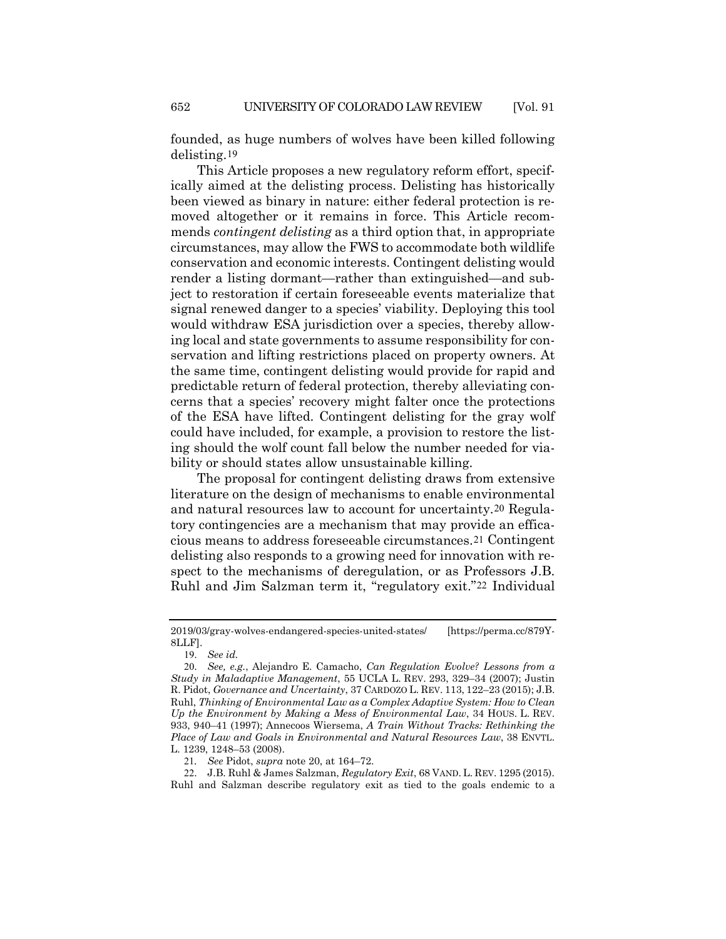founded, as huge numbers of wolves have been killed following delisting.[19](#page-3-1)

This Article proposes a new regulatory reform effort, specifically aimed at the delisting process. Delisting has historically been viewed as binary in nature: either federal protection is removed altogether or it remains in force. This Article recommends *contingent delisting* as a third option that, in appropriate circumstances, may allow the FWS to accommodate both wildlife conservation and economic interests. Contingent delisting would render a listing dormant—rather than extinguished—and subject to restoration if certain foreseeable events materialize that signal renewed danger to a species' viability. Deploying this tool would withdraw ESA jurisdiction over a species, thereby allowing local and state governments to assume responsibility for conservation and lifting restrictions placed on property owners. At the same time, contingent delisting would provide for rapid and predictable return of federal protection, thereby alleviating concerns that a species' recovery might falter once the protections of the ESA have lifted. Contingent delisting for the gray wolf could have included, for example, a provision to restore the listing should the wolf count fall below the number needed for viability or should states allow unsustainable killing.

<span id="page-3-0"></span>The proposal for contingent delisting draws from extensive literature on the design of mechanisms to enable environmental and natural resources law to account for uncertainty.[20](#page-3-2) Regulatory contingencies are a mechanism that may provide an efficacious means to address foreseeable circumstances.[21](#page-3-3) Contingent delisting also responds to a growing need for innovation with respect to the mechanisms of deregulation, or as Professors J.B. Ruhl and Jim Salzman term it, "regulatory exit."[22](#page-3-4) Individual

<sup>2019/03/</sup>gray-wolves-endangered-species-united-states/ [https://perma.cc/879Y-8LLF].

<sup>19</sup>. *See id.*

<span id="page-3-2"></span><span id="page-3-1"></span><sup>20</sup>. *See, e.g.*, Alejandro E. Camacho, *Can Regulation Evolve? Lessons from a Study in Maladaptive Management*, 55 UCLA L. REV. 293, 329–34 (2007); Justin R. Pidot, *Governance and Uncertainty*, 37 CARDOZO L. REV. 113, 122–23 (2015); J.B. Ruhl, *Thinking of Environmental Law as a Complex Adaptive System: How to Clean Up the Environment by Making a Mess of Environmental Law*, 34 HOUS. L. REV. 933, 940–41 (1997); Annecoos Wiersema, *A Train Without Tracks: Rethinking the Place of Law and Goals in Environmental and Natural Resources Law*, 38 ENVTL. L. 1239, 1248–53 (2008).

<sup>21</sup>*. See* Pidot, *supra* note [20,](#page-3-0) at 164–72.

<span id="page-3-4"></span><span id="page-3-3"></span><sup>22</sup>. J.B. Ruhl & James Salzman, *Regulatory Exit*, 68 VAND. L. REV. 1295 (2015). Ruhl and Salzman describe regulatory exit as tied to the goals endemic to a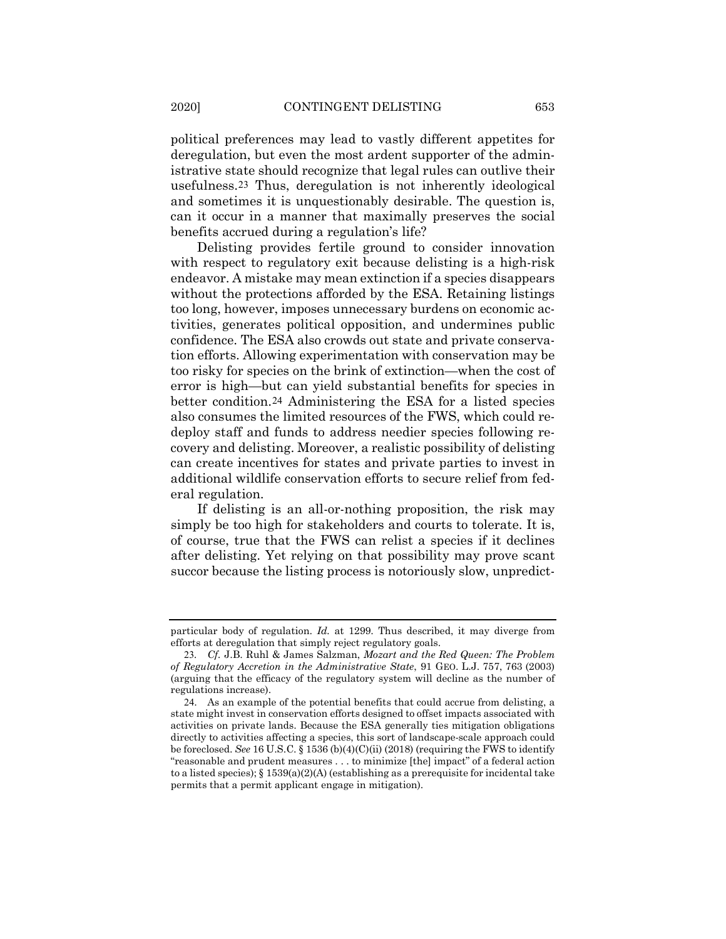political preferences may lead to vastly different appetites for deregulation, but even the most ardent supporter of the administrative state should recognize that legal rules can outlive their usefulness.[23](#page-4-0) Thus, deregulation is not inherently ideological and sometimes it is unquestionably desirable. The question is, can it occur in a manner that maximally preserves the social benefits accrued during a regulation's life?

Delisting provides fertile ground to consider innovation with respect to regulatory exit because delisting is a high-risk endeavor. A mistake may mean extinction if a species disappears without the protections afforded by the ESA. Retaining listings too long, however, imposes unnecessary burdens on economic activities, generates political opposition, and undermines public confidence. The ESA also crowds out state and private conservation efforts. Allowing experimentation with conservation may be too risky for species on the brink of extinction—when the cost of error is high—but can yield substantial benefits for species in better condition.[24](#page-4-1) Administering the ESA for a listed species also consumes the limited resources of the FWS, which could redeploy staff and funds to address needier species following recovery and delisting. Moreover, a realistic possibility of delisting can create incentives for states and private parties to invest in additional wildlife conservation efforts to secure relief from federal regulation.

If delisting is an all-or-nothing proposition, the risk may simply be too high for stakeholders and courts to tolerate. It is, of course, true that the FWS can relist a species if it declines after delisting. Yet relying on that possibility may prove scant succor because the listing process is notoriously slow, unpredict-

particular body of regulation. *Id.* at 1299. Thus described, it may diverge from efforts at deregulation that simply reject regulatory goals.

<span id="page-4-0"></span><sup>23</sup>*. Cf.* J.B. Ruhl & James Salzman, *Mozart and the Red Queen: The Problem of Regulatory Accretion in the Administrative State*, 91 GEO. L.J. 757, 763 (2003) (arguing that the efficacy of the regulatory system will decline as the number of regulations increase).

<span id="page-4-1"></span><sup>24</sup>. As an example of the potential benefits that could accrue from delisting, a state might invest in conservation efforts designed to offset impacts associated with activities on private lands. Because the ESA generally ties mitigation obligations directly to activities affecting a species, this sort of landscape-scale approach could be foreclosed. *See* 16 U.S.C. § 1536 (b)(4)(C)(ii) (2018) (requiring the FWS to identify "reasonable and prudent measures . . . to minimize [the] impact" of a federal action to a listed species);  $\S$  1539(a)(2)(A) (establishing as a prerequisite for incidental take permits that a permit applicant engage in mitigation).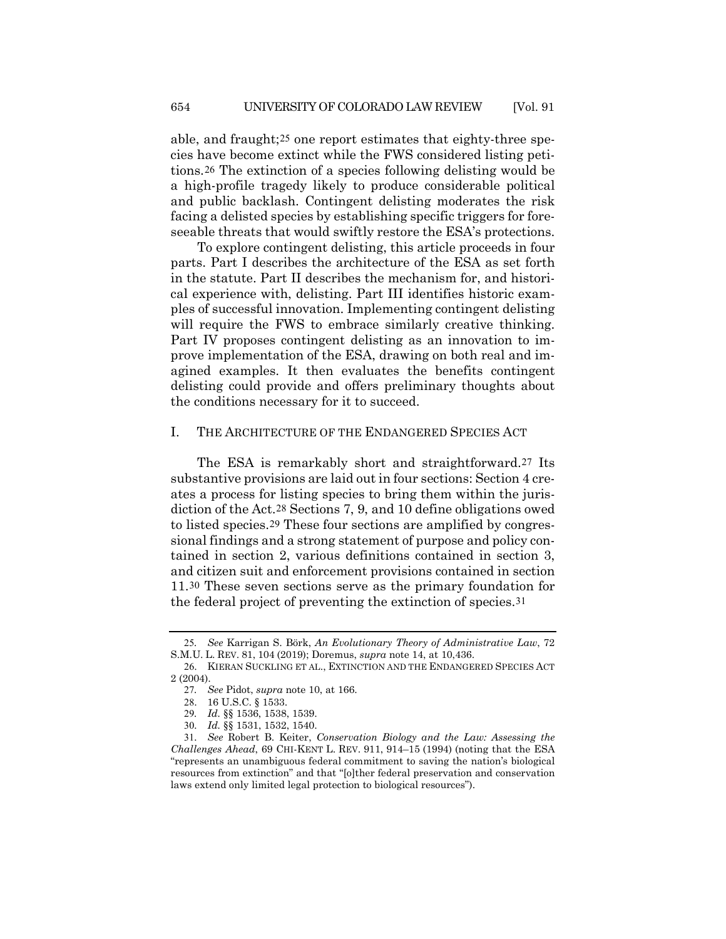<span id="page-5-7"></span>able, and fraught;[25](#page-5-0) one report estimates that eighty-three species have become extinct while the FWS considered listing petitions.[26](#page-5-1) The extinction of a species following delisting would be a high-profile tragedy likely to produce considerable political and public backlash. Contingent delisting moderates the risk facing a delisted species by establishing specific triggers for foreseeable threats that would swiftly restore the ESA's protections.

To explore contingent delisting, this article proceeds in four parts. Part I describes the architecture of the ESA as set forth in the statute. Part II describes the mechanism for, and historical experience with, delisting. Part III identifies historic examples of successful innovation. Implementing contingent delisting will require the FWS to embrace similarly creative thinking. Part IV proposes contingent delisting as an innovation to improve implementation of the ESA, drawing on both real and imagined examples. It then evaluates the benefits contingent delisting could provide and offers preliminary thoughts about the conditions necessary for it to succeed.

#### I. THE ARCHITECTURE OF THE ENDANGERED SPECIES ACT

The ESA is remarkably short and straightforward.[27](#page-5-2) Its substantive provisions are laid out in four sections: Section 4 creates a process for listing species to bring them within the jurisdiction of the Act.[28](#page-5-3) Sections 7, 9, and 10 define obligations owed to listed species.[29](#page-5-4) These four sections are amplified by congressional findings and a strong statement of purpose and policy contained in section 2, various definitions contained in section 3, and citizen suit and enforcement provisions contained in section 11.[30](#page-5-5) These seven sections serve as the primary foundation for the federal project of preventing the extinction of species.[31](#page-5-6)

<span id="page-5-0"></span><sup>25</sup>*. See* Karrigan S. Börk, *An Evolutionary Theory of Administrative Law*, 72 S.M.U. L. REV. 81, 104 (2019); Doremus, *supra* not[e 14,](#page-2-8) at 10,436.

<span id="page-5-2"></span><span id="page-5-1"></span><sup>26</sup>. KIERAN SUCKLING ET AL., EXTINCTION AND THE ENDANGERED SPECIES ACT 2 (2004).

<sup>27</sup>*. See* Pidot, *supra* note [10,](#page-1-5) at 166.

<sup>28</sup>. 16 U.S.C. § 1533.

<sup>29</sup>*. Id.* §§ 1536, 1538, 1539.

<sup>30</sup>*. Id.* §§ 1531, 1532, 1540.

<span id="page-5-6"></span><span id="page-5-5"></span><span id="page-5-4"></span><span id="page-5-3"></span><sup>31</sup>*. See* Robert B. Keiter, *Conservation Biology and the Law: Assessing the Challenges Ahead*, 69 CHI-KENT L. REV. 911, 914–15 (1994) (noting that the ESA "represents an unambiguous federal commitment to saving the nation's biological resources from extinction" and that "[o]ther federal preservation and conservation laws extend only limited legal protection to biological resources").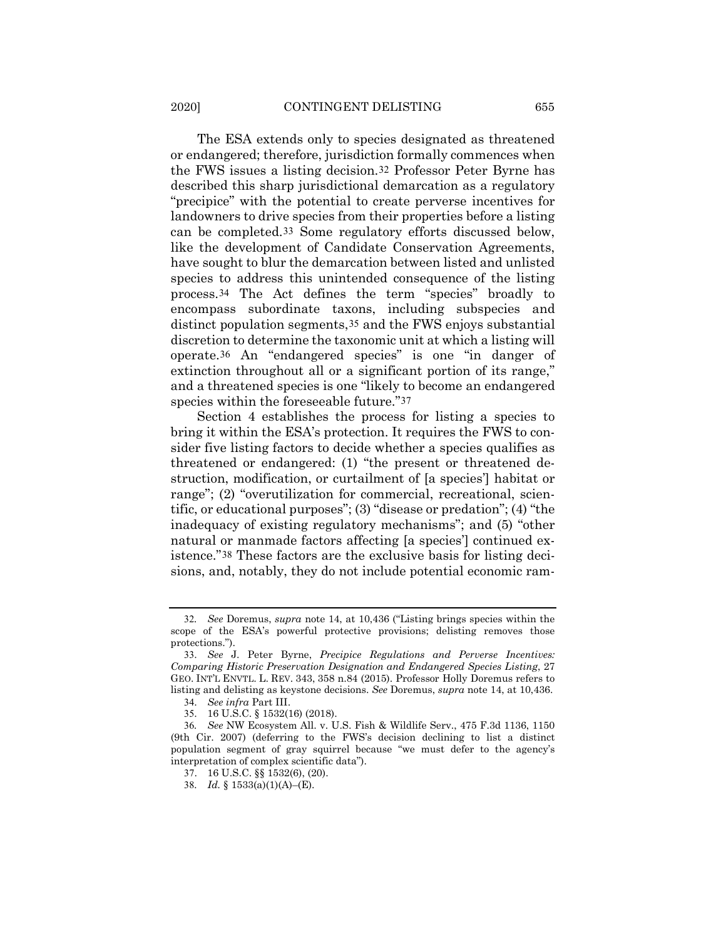<span id="page-6-7"></span>The ESA extends only to species designated as threatened or endangered; therefore, jurisdiction formally commences when the FWS issues a listing decision.[32](#page-6-0) Professor Peter Byrne has described this sharp jurisdictional demarcation as a regulatory "precipice" with the potential to create perverse incentives for landowners to drive species from their properties before a listing can be completed.[33](#page-6-1) Some regulatory efforts discussed below, like the development of Candidate Conservation Agreements, have sought to blur the demarcation between listed and unlisted species to address this unintended consequence of the listing process.[34](#page-6-2) The Act defines the term "species" broadly to encompass subordinate taxons, including subspecies and distinct population segments,[35](#page-6-3) and the FWS enjoys substantial discretion to determine the taxonomic unit at which a listing will operate.[36](#page-6-4) An "endangered species" is one "in danger of extinction throughout all or a significant portion of its range," and a threatened species is one "likely to become an endangered species within the foreseeable future."[37](#page-6-5)

Section 4 establishes the process for listing a species to bring it within the ESA's protection. It requires the FWS to consider five listing factors to decide whether a species qualifies as threatened or endangered: (1) "the present or threatened destruction, modification, or curtailment of [a species'] habitat or range"; (2) "overutilization for commercial, recreational, scientific, or educational purposes"; (3) "disease or predation"; (4) "the inadequacy of existing regulatory mechanisms"; and (5) "other natural or manmade factors affecting [a species'] continued existence."[38](#page-6-6) These factors are the exclusive basis for listing decisions, and, notably, they do not include potential economic ram-

<span id="page-6-0"></span><sup>32</sup>*. See* Doremus, *supra* note [14,](#page-2-9) at 10,436 ("Listing brings species within the scope of the ESA's powerful protective provisions; delisting removes those protections.").

<span id="page-6-1"></span><sup>33</sup>. *See* J. Peter Byrne, *Precipice Regulations and Perverse Incentives: Comparing Historic Preservation Designation and Endangered Species Listing*, 27 GEO. INT'L ENVTL. L. REV. 343, 358 n.84 (2015). Professor Holly Doremus refers to listing and delisting as keystone decisions. *See* Doremus, *supra* not[e 14,](#page-2-8) at 10,436.

<sup>34</sup>. *See infra* Part III.

<sup>35</sup>. 16 U.S.C. § 1532(16) (2018).

<span id="page-6-6"></span><span id="page-6-5"></span><span id="page-6-4"></span><span id="page-6-3"></span><span id="page-6-2"></span><sup>36</sup>*. See* NW Ecosystem All. v. U.S. Fish & Wildlife Serv., 475 F.3d 1136, 1150 (9th Cir. 2007) (deferring to the FWS's decision declining to list a distinct population segment of gray squirrel because "we must defer to the agency's interpretation of complex scientific data").

<sup>37</sup>. 16 U.S.C. §§ 1532(6), (20).

<sup>38</sup>*. Id.* § 1533(a)(1)(A)–(E).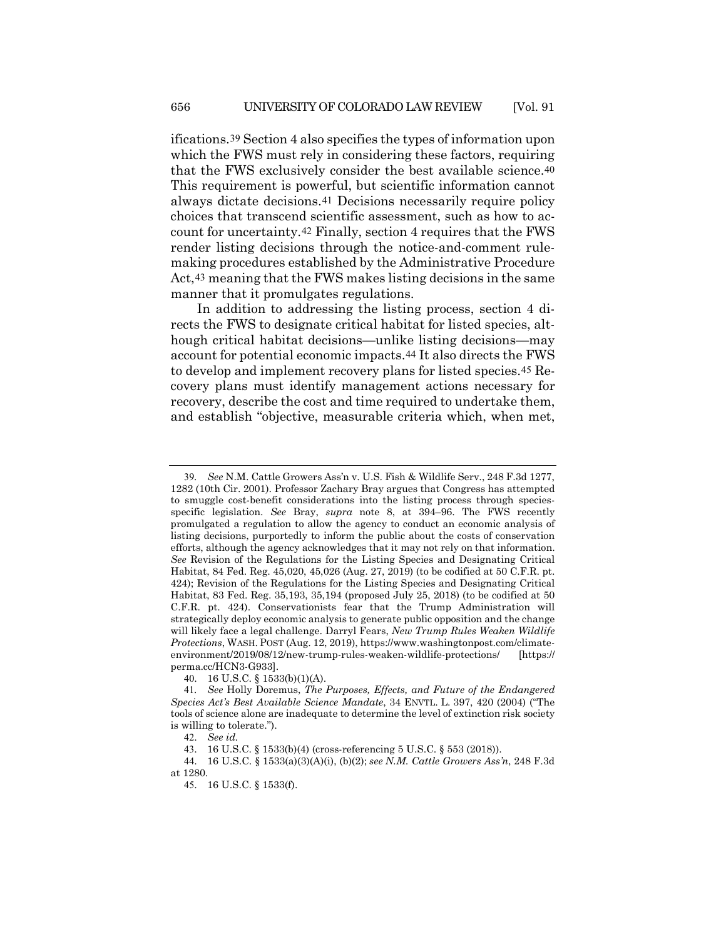ifications.[39](#page-7-0) Section 4 also specifies the types of information upon which the FWS must rely in considering these factors, requiring that the FWS exclusively consider the best available science.[40](#page-7-1) This requirement is powerful, but scientific information cannot always dictate decisions.[41](#page-7-2) Decisions necessarily require policy choices that transcend scientific assessment, such as how to account for uncertainty.[42](#page-7-3) Finally, section 4 requires that the FWS render listing decisions through the notice-and-comment rulemaking procedures established by the Administrative Procedure Act,[43](#page-7-4) meaning that the FWS makes listing decisions in the same manner that it promulgates regulations.

In addition to addressing the listing process, section 4 directs the FWS to designate critical habitat for listed species, although critical habitat decisions—unlike listing decisions—may account for potential economic impacts.[44](#page-7-5) It also directs the FWS to develop and implement recovery plans for listed species.[45](#page-7-6) Recovery plans must identify management actions necessary for recovery, describe the cost and time required to undertake them, and establish "objective, measurable criteria which, when met,

<span id="page-7-0"></span><sup>39</sup>*. See* N.M. Cattle Growers Ass'n v. U.S. Fish & Wildlife Serv., 248 F.3d 1277, 1282 (10th Cir. 2001). Professor Zachary Bray argues that Congress has attempted to smuggle cost-benefit considerations into the listing process through speciesspecific legislation. *See* Bray, *supra* note [8,](#page-1-8) at 394–96. The FWS recently promulgated a regulation to allow the agency to conduct an economic analysis of listing decisions, purportedly to inform the public about the costs of conservation efforts, although the agency acknowledges that it may not rely on that information. *See* Revision of the Regulations for the Listing Species and Designating Critical Habitat, 84 Fed. Reg. 45,020, 45,026 (Aug. 27, 2019) (to be codified at 50 C.F.R. pt. 424); Revision of the Regulations for the Listing Species and Designating Critical Habitat, 83 Fed. Reg. 35,193, 35,194 (proposed July 25, 2018) (to be codified at 50 C.F.R. pt. 424). Conservationists fear that the Trump Administration will strategically deploy economic analysis to generate public opposition and the change will likely face a legal challenge. Darryl Fears, *New Trump Rules Weaken Wildlife Protections*, WASH. POST (Aug. 12, 2019), https://www.washingtonpost.com/climateenvironment/2019/08/12/new-trump-rules-weaken-wildlife-protections/ [https:// perma.cc/HCN3-G933].

<sup>40</sup>. 16 U.S.C. § 1533(b)(1)(A).

<span id="page-7-2"></span><span id="page-7-1"></span><sup>41</sup>*. See* Holly Doremus, *The Purposes, Effects, and Future of the Endangered Species Act's Best Available Science Mandate*, 34 ENVTL. L. 397, 420 (2004) ("The tools of science alone are inadequate to determine the level of extinction risk society is willing to tolerate.").

<sup>42</sup>. *See id.*

<sup>43</sup>. 16 U.S.C. § 1533(b)(4) (cross-referencing 5 U.S.C. § 553 (2018)).

<span id="page-7-6"></span><span id="page-7-5"></span><span id="page-7-4"></span><span id="page-7-3"></span><sup>44</sup>. 16 U.S.C. § 1533(a)(3)(A)(i), (b)(2); *see N.M. Cattle Growers Ass'n*, 248 F.3d at 1280.

<sup>45</sup>. 16 U.S.C. § 1533(f).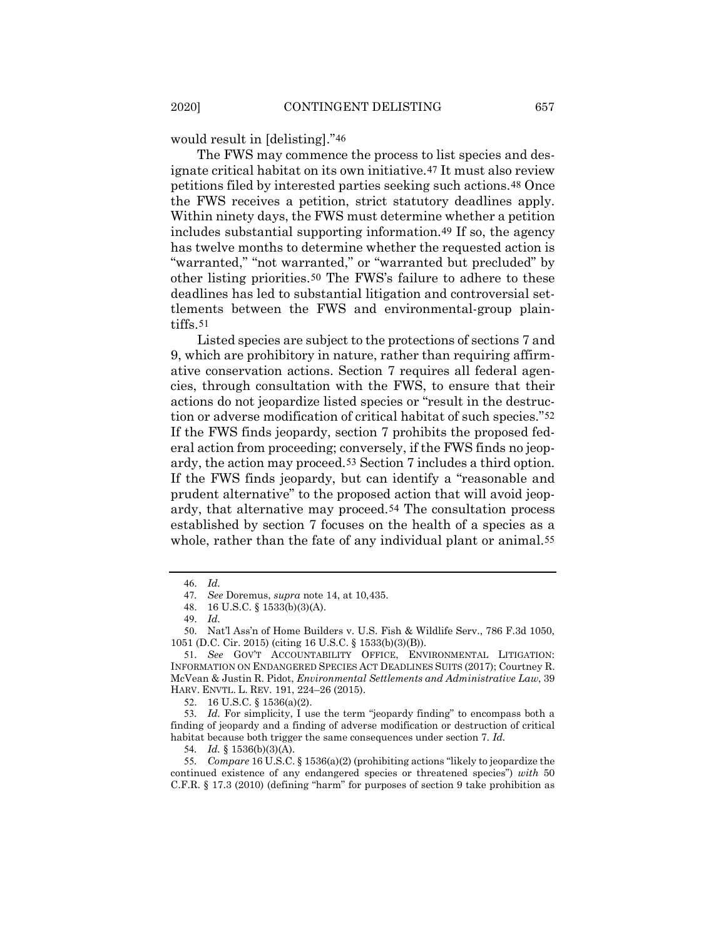would result in [delisting]."[46](#page-8-0)

The FWS may commence the process to list species and designate critical habitat on its own initiative.[47](#page-8-1) It must also review petitions filed by interested parties seeking such actions.[48](#page-8-2) Once the FWS receives a petition, strict statutory deadlines apply. Within ninety days, the FWS must determine whether a petition includes substantial supporting information.[49](#page-8-3) If so, the agency has twelve months to determine whether the requested action is "warranted," "not warranted," or "warranted but precluded" by other listing priorities.[50](#page-8-4) The FWS's failure to adhere to these deadlines has led to substantial litigation and controversial settlements between the FWS and environmental-group plaintiffs.[51](#page-8-5)

<span id="page-8-10"></span>Listed species are subject to the protections of sections 7 and 9, which are prohibitory in nature, rather than requiring affirmative conservation actions. Section 7 requires all federal agencies, through consultation with the FWS, to ensure that their actions do not jeopardize listed species or "result in the destruction or adverse modification of critical habitat of such species."[52](#page-8-6) If the FWS finds jeopardy, section 7 prohibits the proposed federal action from proceeding; conversely, if the FWS finds no jeopardy, the action may proceed.[53](#page-8-7) Section 7 includes a third option. If the FWS finds jeopardy, but can identify a "reasonable and prudent alternative" to the proposed action that will avoid jeopardy, that alternative may proceed.[54](#page-8-8) The consultation process established by section 7 focuses on the health of a species as a whole, rather than the fate of any individual plant or animal.<sup>[55](#page-8-9)</sup>

<sup>46</sup>. *Id.*

<sup>47</sup>*. See* Doremus, *supra* note [14,](#page-2-8) at 10,435.

<sup>48</sup>. 16 U.S.C. § 1533(b)(3)(A).

<sup>49</sup>. *Id.*

<span id="page-8-3"></span><span id="page-8-2"></span><span id="page-8-1"></span><span id="page-8-0"></span><sup>50</sup>. Nat'l Ass'n of Home Builders v. U.S. Fish & Wildlife Serv., 786 F.3d 1050, 1051 (D.C. Cir. 2015) (citing 16 U.S.C. § 1533(b)(3)(B)).

<span id="page-8-5"></span><span id="page-8-4"></span><sup>51</sup>*. See* GOV'T ACCOUNTABILITY OFFICE, ENVIRONMENTAL LITIGATION: INFORMATION ON ENDANGERED SPECIES ACT DEADLINES SUITS (2017); Courtney R. McVean & Justin R. Pidot, *Environmental Settlements and Administrative Law*, 39 HARV. ENVTL. L. REV. 191, 224–26 (2015).

<sup>52</sup>. 16 U.S.C. § 1536(a)(2).

<span id="page-8-7"></span><span id="page-8-6"></span><sup>53</sup>*. Id.* For simplicity, I use the term "jeopardy finding" to encompass both a finding of jeopardy and a finding of adverse modification or destruction of critical habitat because both trigger the same consequences under section 7. *Id.* 

<sup>54</sup>*. Id.* § 1536(b)(3)(A).

<span id="page-8-9"></span><span id="page-8-8"></span><sup>55</sup>*. Compare* 16 U.S.C. § 1536(a)(2) (prohibiting actions "likely to jeopardize the continued existence of any endangered species or threatened species") *with* 50 C.F.R. § 17.3 (2010) (defining "harm" for purposes of section 9 take prohibition as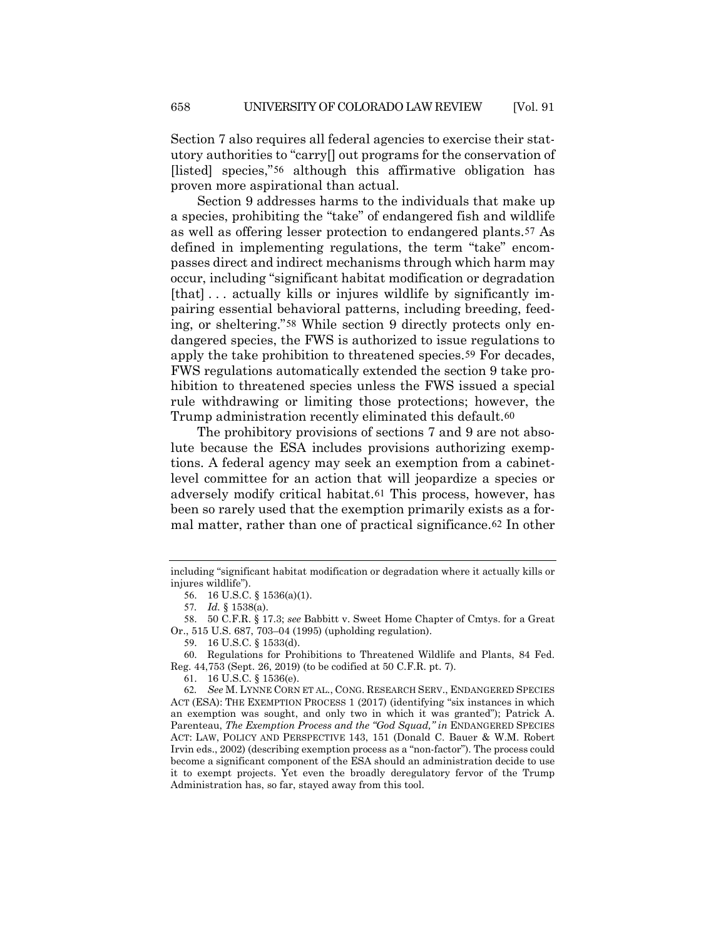Section 7 also requires all federal agencies to exercise their statutory authorities to "carry[] out programs for the conservation of [listed] species,"[56](#page-9-0) although this affirmative obligation has proven more aspirational than actual.

Section 9 addresses harms to the individuals that make up a species, prohibiting the "take" of endangered fish and wildlife as well as offering lesser protection to endangered plants.[57](#page-9-1) As defined in implementing regulations, the term "take" encompasses direct and indirect mechanisms through which harm may occur, including "significant habitat modification or degradation [that]... actually kills or injures wildlife by significantly impairing essential behavioral patterns, including breeding, feeding, or sheltering."[58](#page-9-2) While section 9 directly protects only endangered species, the FWS is authorized to issue regulations to apply the take prohibition to threatened species.[59](#page-9-3) For decades, FWS regulations automatically extended the section 9 take prohibition to threatened species unless the FWS issued a special rule withdrawing or limiting those protections; however, the Trump administration recently eliminated this default.<sup>[60](#page-9-4)</sup>

The prohibitory provisions of sections 7 and 9 are not absolute because the ESA includes provisions authorizing exemptions. A federal agency may seek an exemption from a cabinetlevel committee for an action that will jeopardize a species or adversely modify critical habitat.[61](#page-9-5) This process, however, has been so rarely used that the exemption primarily exists as a formal matter, rather than one of practical significance.[62](#page-9-6) In other

<span id="page-9-0"></span>including "significant habitat modification or degradation where it actually kills or injures wildlife").

<sup>56</sup>. 16 U.S.C. § 1536(a)(1).

<sup>57</sup>*. Id.* § 1538(a).

<span id="page-9-2"></span><span id="page-9-1"></span><sup>58</sup>. 50 C.F.R. § 17.3; *see* Babbitt v. Sweet Home Chapter of Cmtys. for a Great Or., 515 U.S. 687, 703–04 (1995) (upholding regulation).

<sup>59</sup>. 16 U.S.C. § 1533(d).

<span id="page-9-4"></span><span id="page-9-3"></span><sup>60</sup>. Regulations for Prohibitions to Threatened Wildlife and Plants, 84 Fed. Reg. 44,753 (Sept. 26, 2019) (to be codified at 50 C.F.R. pt. 7).

<sup>61</sup>. 16 U.S.C. § 1536(e).

<span id="page-9-6"></span><span id="page-9-5"></span><sup>62</sup>*. See* M. LYNNE CORN ET AL., CONG. RESEARCH SERV., ENDANGERED SPECIES ACT (ESA): THE EXEMPTION PROCESS 1 (2017) (identifying "six instances in which an exemption was sought, and only two in which it was granted"); Patrick A. Parenteau, *The Exemption Process and the "God Squad," in* ENDANGERED SPECIES ACT: LAW, POLICY AND PERSPECTIVE 143, 151 (Donald C. Bauer & W.M. Robert Irvin eds., 2002) (describing exemption process as a "non-factor"). The process could become a significant component of the ESA should an administration decide to use it to exempt projects. Yet even the broadly deregulatory fervor of the Trump Administration has, so far, stayed away from this tool.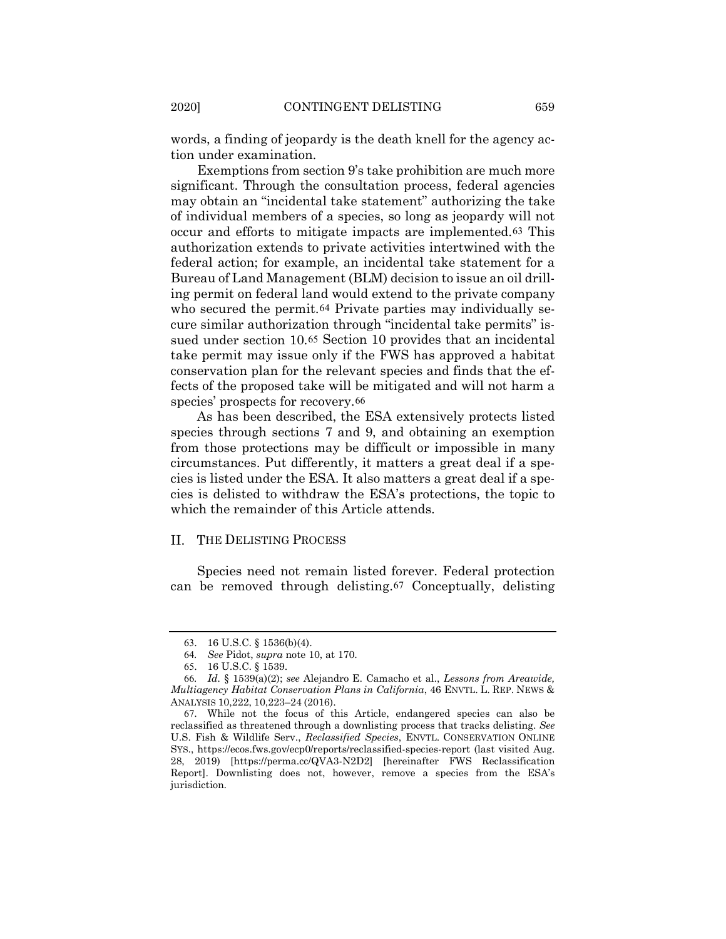words, a finding of jeopardy is the death knell for the agency action under examination.

Exemptions from section 9's take prohibition are much more significant. Through the consultation process, federal agencies may obtain an "incidental take statement" authorizing the take of individual members of a species, so long as jeopardy will not occur and efforts to mitigate impacts are implemented.[63](#page-10-0) This authorization extends to private activities intertwined with the federal action; for example, an incidental take statement for a Bureau of Land Management (BLM) decision to issue an oil drilling permit on federal land would extend to the private company who secured the permit.<sup>[64](#page-10-1)</sup> Private parties may individually secure similar authorization through "incidental take permits" issued under section 10.[65](#page-10-2) Section 10 provides that an incidental take permit may issue only if the FWS has approved a habitat conservation plan for the relevant species and finds that the effects of the proposed take will be mitigated and will not harm a species' prospects for recovery.[66](#page-10-3)

As has been described, the ESA extensively protects listed species through sections 7 and 9, and obtaining an exemption from those protections may be difficult or impossible in many circumstances. Put differently, it matters a great deal if a species is listed under the ESA. It also matters a great deal if a species is delisted to withdraw the ESA's protections, the topic to which the remainder of this Article attends.

### II. THE DELISTING PROCESS

Species need not remain listed forever. Federal protection can be removed through delisting.[67](#page-10-4) Conceptually, delisting

<span id="page-10-5"></span><sup>63</sup>. 16 U.S.C. § 1536(b)(4).

<sup>64</sup>*. See* Pidot, *supra* note [10,](#page-1-5) at 170.

<sup>65</sup>. 16 U.S.C. § 1539.

<span id="page-10-3"></span><span id="page-10-2"></span><span id="page-10-1"></span><span id="page-10-0"></span><sup>66</sup>*. Id.* § 1539(a)(2); *see* Alejandro E. Camacho et al., *Lessons from Areawide, Multiagency Habitat Conservation Plans in California*, 46 ENVTL. L. REP. NEWS & ANALYSIS 10,222, 10,223–24 (2016).

<span id="page-10-4"></span><sup>67</sup>. While not the focus of this Article, endangered species can also be reclassified as threatened through a downlisting process that tracks delisting. *See*  U.S. Fish & Wildlife Serv., *Reclassified Species*, ENVTL. CONSERVATION ONLINE SYS., https://ecos.fws.gov/ecp0/reports/reclassified-species-report (last visited Aug. 28, 2019) [https://perma.cc/QVA3-N2D2] [hereinafter FWS Reclassification Report]. Downlisting does not, however, remove a species from the ESA's jurisdiction.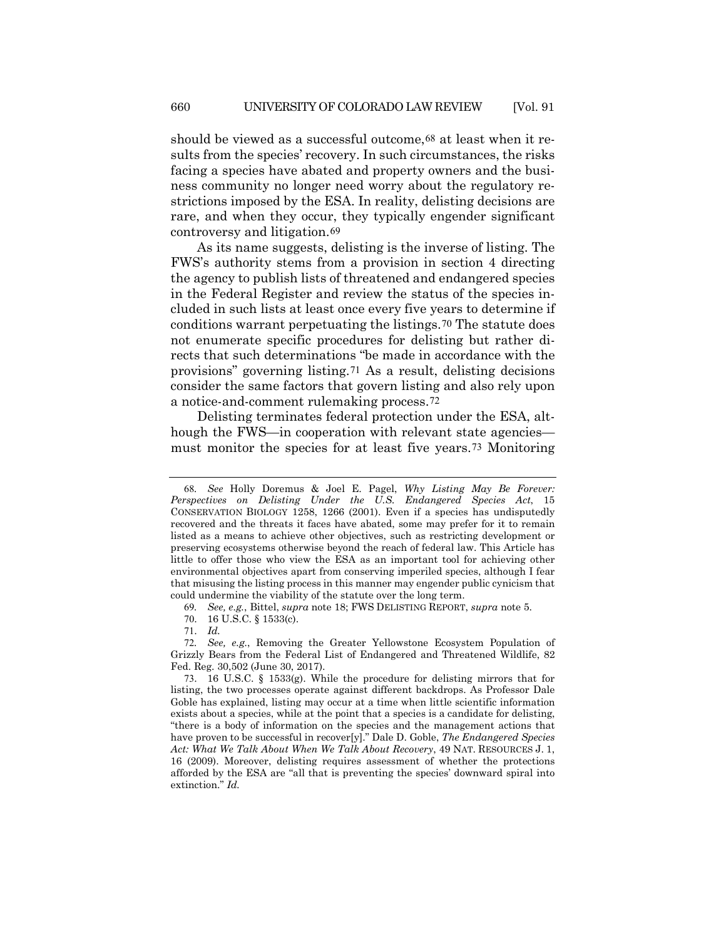should be viewed as a successful outcome,<sup>[68](#page-11-0)</sup> at least when it results from the species' recovery. In such circumstances, the risks facing a species have abated and property owners and the business community no longer need worry about the regulatory restrictions imposed by the ESA. In reality, delisting decisions are rare, and when they occur, they typically engender significant controversy and litigation.[69](#page-11-1)

As its name suggests, delisting is the inverse of listing. The FWS's authority stems from a provision in section 4 directing the agency to publish lists of threatened and endangered species in the Federal Register and review the status of the species included in such lists at least once every five years to determine if conditions warrant perpetuating the listings.[70](#page-11-2) The statute does not enumerate specific procedures for delisting but rather directs that such determinations "be made in accordance with the provisions" governing listing.[71](#page-11-3) As a result, delisting decisions consider the same factors that govern listing and also rely upon a notice-and-comment rulemaking process.[72](#page-11-4)

Delisting terminates federal protection under the ESA, although the FWS—in cooperation with relevant state agencies must monitor the species for at least five years.[73](#page-11-5) Monitoring

<span id="page-11-0"></span><sup>68</sup>*. See* Holly Doremus & Joel E. Pagel, *Why Listing May Be Forever: Perspectives on Delisting Under the U.S. Endangered Species Act*, 15 CONSERVATION BIOLOGY 1258, 1266 (2001). Even if a species has undisputedly recovered and the threats it faces have abated, some may prefer for it to remain listed as a means to achieve other objectives, such as restricting development or preserving ecosystems otherwise beyond the reach of federal law. This Article has little to offer those who view the ESA as an important tool for achieving other environmental objectives apart from conserving imperiled species, although I fear that misusing the listing process in this manner may engender public cynicism that could undermine the viability of the statute over the long term.

<sup>69</sup>*. See, e.g.*, Bittel, *supra* note [18;](#page-2-10) FWS DELISTING REPORT, *supra* not[e 5.](#page-0-7)

<sup>70</sup>. 16 U.S.C. § 1533(c).

<sup>71</sup>. *Id.*

<span id="page-11-4"></span><span id="page-11-3"></span><span id="page-11-2"></span><span id="page-11-1"></span><sup>72</sup>*. See, e.g.*, Removing the Greater Yellowstone Ecosystem Population of Grizzly Bears from the Federal List of Endangered and Threatened Wildlife, 82 Fed. Reg. 30,502 (June 30, 2017).

<span id="page-11-5"></span><sup>73</sup>. 16 U.S.C. § 1533(g). While the procedure for delisting mirrors that for listing, the two processes operate against different backdrops. As Professor Dale Goble has explained, listing may occur at a time when little scientific information exists about a species, while at the point that a species is a candidate for delisting, "there is a body of information on the species and the management actions that have proven to be successful in recover[y]." Dale D. Goble, *The Endangered Species Act: What We Talk About When We Talk About Recovery*, 49 NAT. RESOURCES J. 1, 16 (2009). Moreover, delisting requires assessment of whether the protections afforded by the ESA are "all that is preventing the species' downward spiral into extinction." *Id.*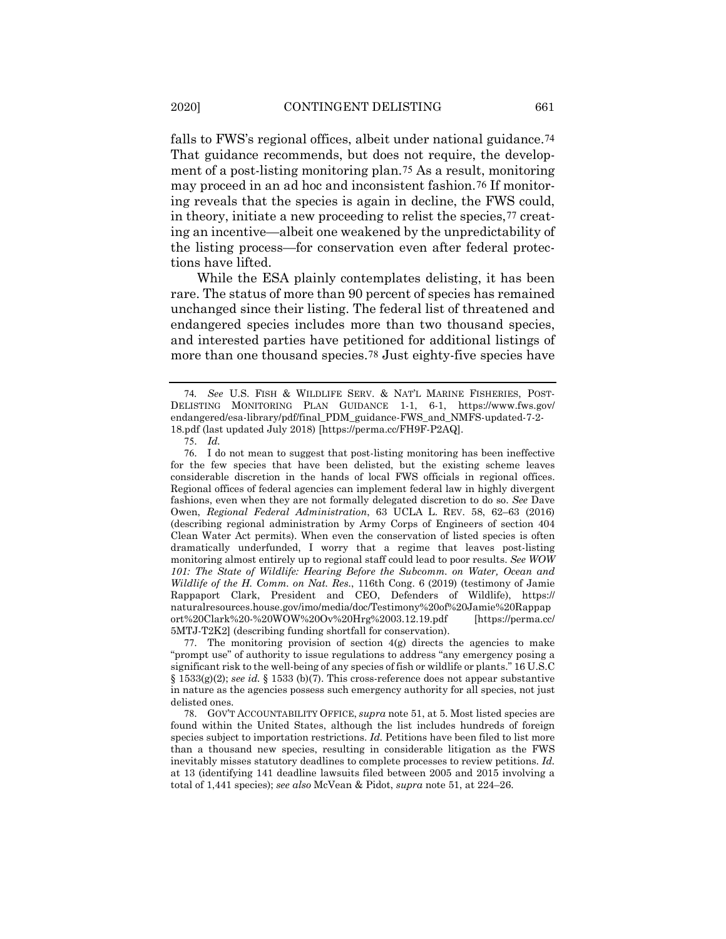falls to FWS's regional offices, albeit under national guidance.<sup>[74](#page-12-0)</sup> That guidance recommends, but does not require, the development of a post-listing monitoring plan.[75](#page-12-1) As a result, monitoring may proceed in an ad hoc and inconsistent fashion.[76](#page-12-2) If monitoring reveals that the species is again in decline, the FWS could, in theory, initiate a new proceeding to relist the species,[77](#page-12-3) creating an incentive—albeit one weakened by the unpredictability of the listing process—for conservation even after federal protections have lifted.

While the ESA plainly contemplates delisting, it has been rare. The status of more than 90 percent of species has remained unchanged since their listing. The federal list of threatened and endangered species includes more than two thousand species, and interested parties have petitioned for additional listings of more than one thousand species.[78](#page-12-4) Just eighty-five species have

<span id="page-12-2"></span><span id="page-12-1"></span>76. I do not mean to suggest that post-listing monitoring has been ineffective for the few species that have been delisted, but the existing scheme leaves considerable discretion in the hands of local FWS officials in regional offices. Regional offices of federal agencies can implement federal law in highly divergent fashions, even when they are not formally delegated discretion to do so. *See* Dave Owen, *Regional Federal Administration*, 63 UCLA L. REV. 58, 62–63 (2016) (describing regional administration by Army Corps of Engineers of section 404 Clean Water Act permits). When even the conservation of listed species is often dramatically underfunded, I worry that a regime that leaves post-listing monitoring almost entirely up to regional staff could lead to poor results. *See WOW 101: The State of Wildlife: Hearing Before the Subcomm. on Water, Ocean and Wildlife of the H. Comm. on Nat. Res.*, 116th Cong. 6 (2019) (testimony of Jamie Rappaport Clark, President and CEO, Defenders of Wildlife), https:// naturalresources.house.gov/imo/media/doc/Testimony%20of%20Jamie%20Rappap ort%20Clark%20-%20WOW%20Ov%20Hrg%2003.12.19.pdf [https://perma.cc/ 5MTJ-T2K2] (describing funding shortfall for conservation).

<span id="page-12-3"></span>77. The monitoring provision of section 4(g) directs the agencies to make "prompt use" of authority to issue regulations to address "any emergency posing a significant risk to the well-being of any species of fish or wildlife or plants." 16 U.S.C § 1533(g)(2); *see id.* § 1533 (b)(7). This cross-reference does not appear substantive in nature as the agencies possess such emergency authority for all species, not just delisted ones.

<span id="page-12-4"></span>78. GOV'T ACCOUNTABILITY OFFICE, *supra* not[e 51,](#page-8-10) at 5. Most listed species are found within the United States, although the list includes hundreds of foreign species subject to importation restrictions. *Id.* Petitions have been filed to list more than a thousand new species, resulting in considerable litigation as the FWS inevitably misses statutory deadlines to complete processes to review petitions. *Id.* at 13 (identifying 141 deadline lawsuits filed between 2005 and 2015 involving a total of 1,441 species); *see also* McVean & Pidot, *supra* note [51,](#page-8-10) at 224–26.

<span id="page-12-0"></span><sup>74</sup>*. See* U.S. FISH & WILDLIFE SERV. & NAT'L MARINE FISHERIES, POST-DELISTING MONITORING PLAN GUIDANCE 1-1, 6-1, https://www.fws.gov/ endangered/esa-library/pdf/final\_PDM\_guidance-FWS\_and\_NMFS-updated-7-2- 18.pdf (last updated July 2018) [https://perma.cc/FH9F-P2AQ].

<sup>75</sup>. *Id.*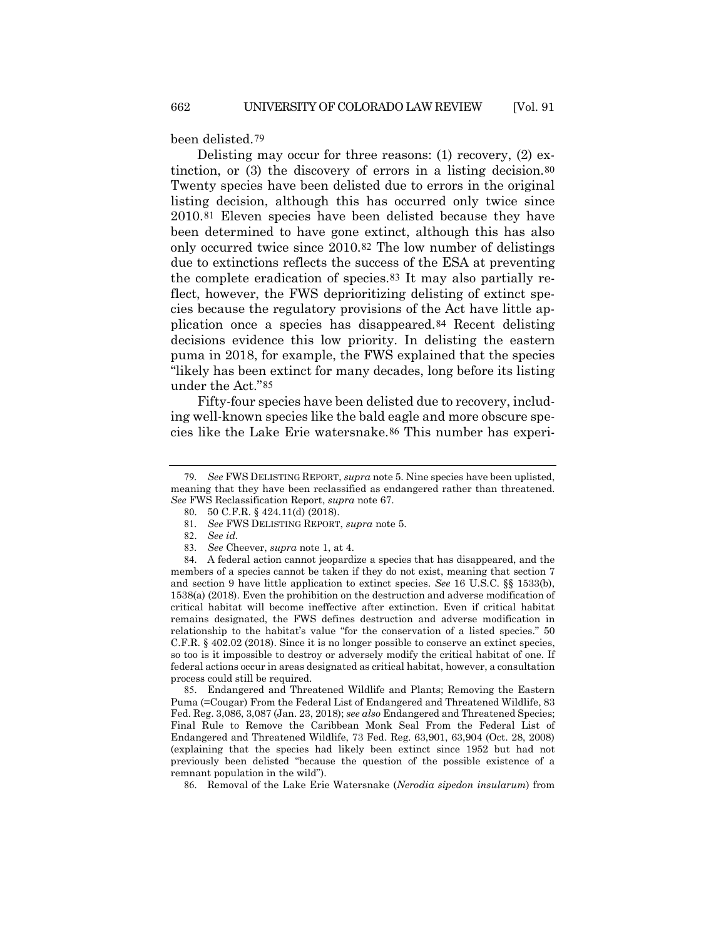been delisted.[79](#page-13-0)

Delisting may occur for three reasons: (1) recovery, (2) extinction, or (3) the discovery of errors in a listing decision.[80](#page-13-1) Twenty species have been delisted due to errors in the original listing decision, although this has occurred only twice since 2010.[81](#page-13-2) Eleven species have been delisted because they have been determined to have gone extinct, although this has also only occurred twice since 2010.[82](#page-13-3) The low number of delistings due to extinctions reflects the success of the ESA at preventing the complete eradication of species.[83](#page-13-4) It may also partially reflect, however, the FWS deprioritizing delisting of extinct species because the regulatory provisions of the Act have little application once a species has disappeared.[84](#page-13-5) Recent delisting decisions evidence this low priority. In delisting the eastern puma in 2018, for example, the FWS explained that the species "likely has been extinct for many decades, long before its listing under the Act."[85](#page-13-6)

Fifty-four species have been delisted due to recovery, including well-known species like the bald eagle and more obscure species like the Lake Erie watersnake.[86](#page-13-7) This number has experi-

<span id="page-13-5"></span><span id="page-13-4"></span><span id="page-13-3"></span><span id="page-13-2"></span>84. A federal action cannot jeopardize a species that has disappeared, and the members of a species cannot be taken if they do not exist, meaning that section 7 and section 9 have little application to extinct species. *See* 16 U.S.C. §§ 1533(b), 1538(a) (2018). Even the prohibition on the destruction and adverse modification of critical habitat will become ineffective after extinction. Even if critical habitat remains designated, the FWS defines destruction and adverse modification in relationship to the habitat's value "for the conservation of a listed species." 50 C.F.R. § 402.02 (2018). Since it is no longer possible to conserve an extinct species, so too is it impossible to destroy or adversely modify the critical habitat of one. If federal actions occur in areas designated as critical habitat, however, a consultation process could still be required.

<span id="page-13-6"></span>85. Endangered and Threatened Wildlife and Plants; Removing the Eastern Puma (=Cougar) From the Federal List of Endangered and Threatened Wildlife, 83 Fed. Reg. 3,086, 3,087 (Jan. 23, 2018); *see also* Endangered and Threatened Species; Final Rule to Remove the Caribbean Monk Seal From the Federal List of Endangered and Threatened Wildlife, 73 Fed. Reg. 63,901, 63,904 (Oct. 28, 2008) (explaining that the species had likely been extinct since 1952 but had not previously been delisted "because the question of the possible existence of a remnant population in the wild").

<span id="page-13-7"></span>86. Removal of the Lake Erie Watersnake (*Nerodia sipedon insularum*) from

<span id="page-13-1"></span><span id="page-13-0"></span><sup>79</sup>*. See* FWS DELISTING REPORT, *supra* not[e 5.](#page-0-7) Nine species have been uplisted, meaning that they have been reclassified as endangered rather than threatened. *See* FWS Reclassification Report, *supra* note [67.](#page-10-5)

<sup>80</sup>. 50 C.F.R. § 424.11(d) (2018).

<sup>81</sup>*. See* FWS DELISTING REPORT, *supra* note [5.](#page-0-7)

<sup>82</sup>. *See id.*

<sup>83</sup>*. See* Cheever, *supra* note [1,](#page-0-8) at 4.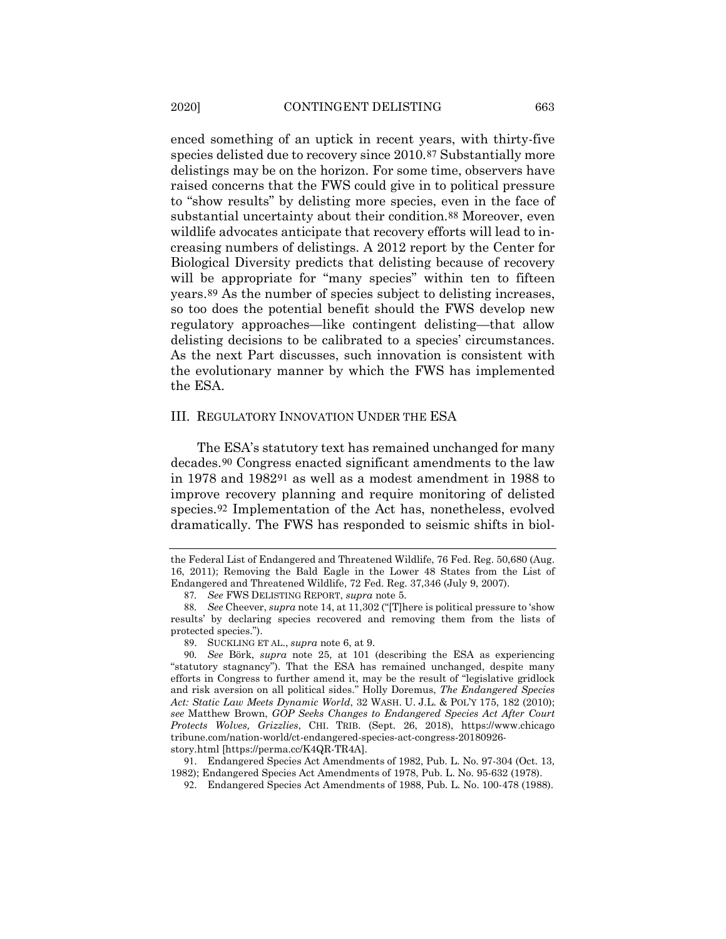enced something of an uptick in recent years, with thirty-five species delisted due to recovery since 2010.[87](#page-14-0) Substantially more delistings may be on the horizon. For some time, observers have raised concerns that the FWS could give in to political pressure to "show results" by delisting more species, even in the face of substantial uncertainty about their condition.[88](#page-14-1) Moreover, even wildlife advocates anticipate that recovery efforts will lead to increasing numbers of delistings. A 2012 report by the Center for Biological Diversity predicts that delisting because of recovery will be appropriate for "many species" within ten to fifteen years.[89](#page-14-2) As the number of species subject to delisting increases, so too does the potential benefit should the FWS develop new regulatory approaches—like contingent delisting—that allow delisting decisions to be calibrated to a species' circumstances. As the next Part discusses, such innovation is consistent with the evolutionary manner by which the FWS has implemented the ESA.

# III. REGULATORY INNOVATION UNDER THE ESA

The ESA's statutory text has remained unchanged for many decades.[90](#page-14-3) Congress enacted significant amendments to the law in 1978 and 1982[91](#page-14-4) as well as a modest amendment in 1988 to improve recovery planning and require monitoring of delisted species.[92](#page-14-5) Implementation of the Act has, nonetheless, evolved dramatically. The FWS has responded to seismic shifts in biol-

<span id="page-14-5"></span><span id="page-14-4"></span>story.html [https://perma.cc/K4QR-TR4A].

91. Endangered Species Act Amendments of 1982, Pub. L. No. 97-304 (Oct. 13, 1982); Endangered Species Act Amendments of 1978, Pub. L. No. 95-632 (1978).

92. Endangered Species Act Amendments of 1988, Pub. L. No. 100-478 (1988).

the Federal List of Endangered and Threatened Wildlife, 76 Fed. Reg. 50,680 (Aug. 16, 2011); Removing the Bald Eagle in the Lower 48 States from the List of Endangered and Threatened Wildlife, 72 Fed. Reg. 37,346 (July 9, 2007).

<sup>87</sup>*. See* FWS DELISTING REPORT, *supra* note [5.](#page-0-7)

<span id="page-14-1"></span><span id="page-14-0"></span><sup>88</sup>*. See* Cheever, *supra* not[e 14,](#page-2-9) at 11,302 ("[T]here is political pressure to 'show results' by declaring species recovered and removing them from the lists of protected species.").

<sup>89</sup>. SUCKLING ET AL., *supra* note 6, at 9.

<span id="page-14-3"></span><span id="page-14-2"></span><sup>90</sup>*. See* Börk, *supra* note [25,](#page-5-7) at 101 (describing the ESA as experiencing "statutory stagnancy"). That the ESA has remained unchanged, despite many efforts in Congress to further amend it, may be the result of "legislative gridlock and risk aversion on all political sides." Holly Doremus, *The Endangered Species Act: Static Law Meets Dynamic World*, 32 WASH. U. J.L. & POL'Y 175, 182 (2010); *see* Matthew Brown, *GOP Seeks Changes to Endangered Species Act After Court Protects Wolves, Grizzlies*, CHI. TRIB. (Sept. 26, 2018), https://www.chicago tribune.com/nation-world/ct-endangered-species-act-congress-20180926-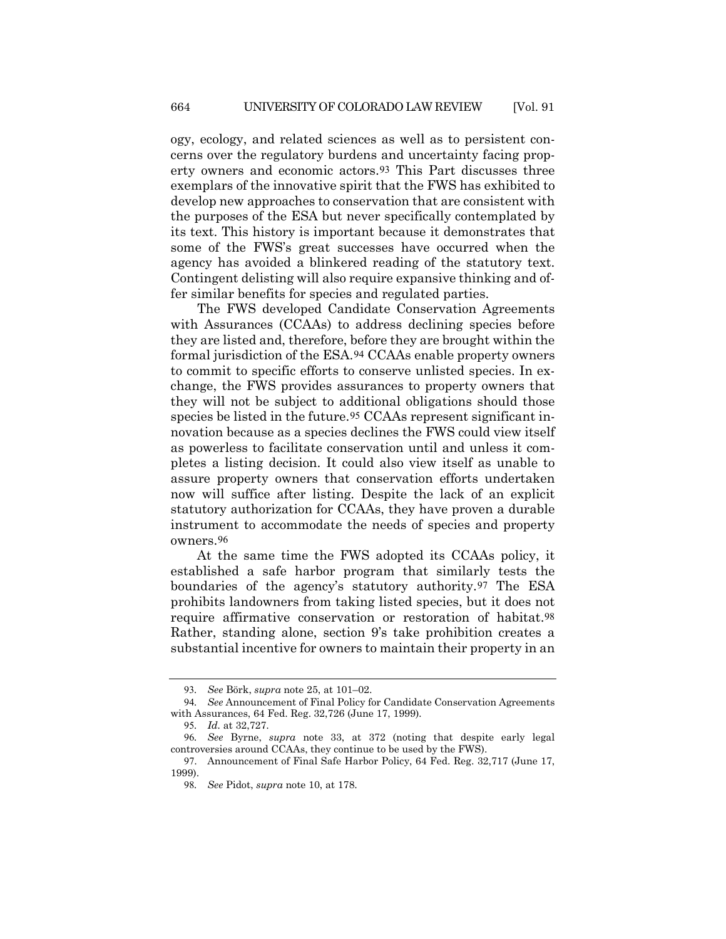ogy, ecology, and related sciences as well as to persistent concerns over the regulatory burdens and uncertainty facing property owners and economic actors.[93](#page-15-0) This Part discusses three exemplars of the innovative spirit that the FWS has exhibited to develop new approaches to conservation that are consistent with the purposes of the ESA but never specifically contemplated by its text. This history is important because it demonstrates that some of the FWS's great successes have occurred when the agency has avoided a blinkered reading of the statutory text. Contingent delisting will also require expansive thinking and offer similar benefits for species and regulated parties.

The FWS developed Candidate Conservation Agreements with Assurances (CCAAs) to address declining species before they are listed and, therefore, before they are brought within the formal jurisdiction of the ESA.[94](#page-15-1) CCAAs enable property owners to commit to specific efforts to conserve unlisted species. In exchange, the FWS provides assurances to property owners that they will not be subject to additional obligations should those species be listed in the future.<sup>[95](#page-15-2)</sup> CCAAs represent significant innovation because as a species declines the FWS could view itself as powerless to facilitate conservation until and unless it completes a listing decision. It could also view itself as unable to assure property owners that conservation efforts undertaken now will suffice after listing. Despite the lack of an explicit statutory authorization for CCAAs, they have proven a durable instrument to accommodate the needs of species and property owners.[96](#page-15-3)

At the same time the FWS adopted its CCAAs policy, it established a safe harbor program that similarly tests the boundaries of the agency's statutory authority.[97](#page-15-4) The ESA prohibits landowners from taking listed species, but it does not require affirmative conservation or restoration of habitat.[98](#page-15-5) Rather, standing alone, section 9's take prohibition creates a substantial incentive for owners to maintain their property in an

<sup>93</sup>*. See* Börk, *supra* not[e 25,](#page-5-7) at 101–02.

<span id="page-15-2"></span><span id="page-15-1"></span><span id="page-15-0"></span><sup>94</sup>*. See* Announcement of Final Policy for Candidate Conservation Agreements with Assurances, 64 Fed. Reg. 32,726 (June 17, 1999)*.*

<sup>95</sup>*. Id.* at 32,727.

<span id="page-15-3"></span><sup>96</sup>*. See* Byrne, *supra* note [33,](#page-6-7) at 372 (noting that despite early legal controversies around CCAAs, they continue to be used by the FWS).

<span id="page-15-5"></span><span id="page-15-4"></span><sup>97</sup>. Announcement of Final Safe Harbor Policy, 64 Fed. Reg. 32,717 (June 17, 1999).

<sup>98</sup>*. See* Pidot, *supra* note [10,](#page-1-5) at 178.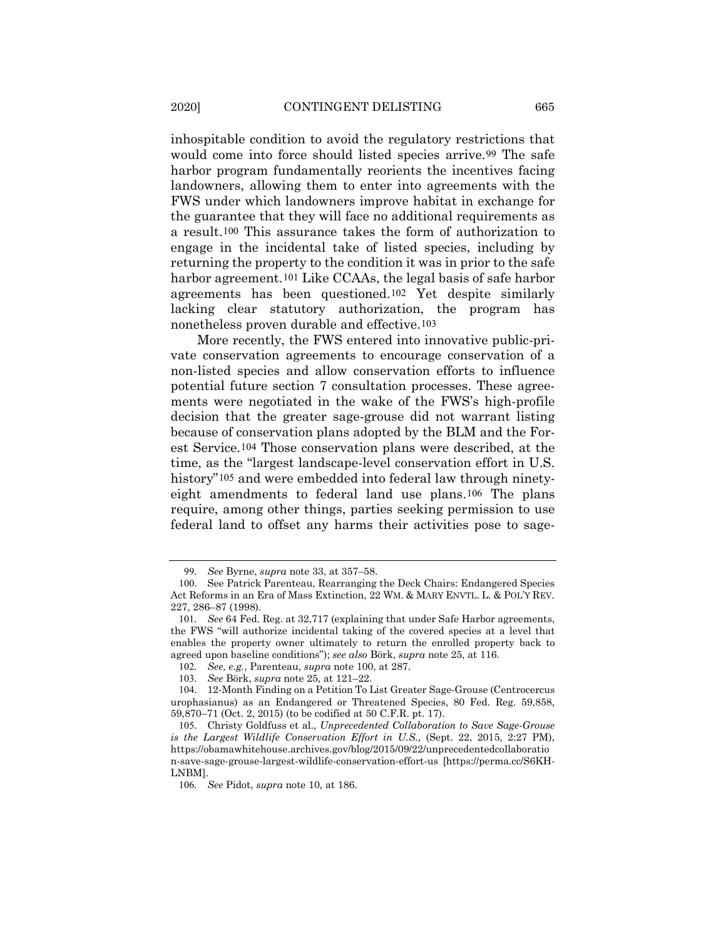<span id="page-16-0"></span>inhospitable condition to avoid the regulatory restrictions that would come into force should listed species arrive.[99](#page-16-1) The safe harbor program fundamentally reorients the incentives facing landowners, allowing them to enter into agreements with the FWS under which landowners improve habitat in exchange for the guarantee that they will face no additional requirements as a result.[100](#page-16-2) This assurance takes the form of authorization to engage in the incidental take of listed species, including by returning the property to the condition it was in prior to the safe harbor agreement.<sup>[101](#page-16-3)</sup> Like CCAAs, the legal basis of safe harbor agreements has been questioned.[102](#page-16-4) Yet despite similarly lacking clear statutory authorization, the program has nonetheless proven durable and effective.[103](#page-16-5)

More recently, the FWS entered into innovative public-private conservation agreements to encourage conservation of a non-listed species and allow conservation efforts to influence potential future section 7 consultation processes. These agreements were negotiated in the wake of the FWS's high-profile decision that the greater sage-grouse did not warrant listing because of conservation plans adopted by the BLM and the Forest Service.[104](#page-16-6) Those conservation plans were described, at the time, as the "largest landscape-level conservation effort in U.S. history"<sup>[105](#page-16-7)</sup> and were embedded into federal law through ninetyeight amendments to federal land use plans.[106](#page-16-8) The plans require, among other things, parties seeking permission to use federal land to offset any harms their activities pose to sage-

<sup>99</sup>*. See* Byrne, *supra* not[e 33,](#page-6-7) at 357–58.

<span id="page-16-2"></span><span id="page-16-1"></span><sup>100</sup>. See Patrick Parenteau, Rearranging the Deck Chairs: Endangered Species Act Reforms in an Era of Mass Extinction, 22 WM. & MARY ENVTL. L. & POL'Y REV. 227, 286–87 (1998).

<span id="page-16-3"></span><sup>101</sup>*. See* 64 Fed. Reg. at 32,717 (explaining that under Safe Harbor agreements, the FWS "will authorize incidental taking of the covered species at a level that enables the property owner ultimately to return the enrolled property back to agreed upon baseline conditions"); *see also* Börk, *supra* not[e 25,](#page-5-7) at 116.

<sup>102</sup>*. See, e.g.*, Parenteau, *supra* note [100,](#page-16-0) at 287.

<sup>103</sup>*. See* Börk, *supra* not[e 25,](#page-5-7) at 121–22.

<span id="page-16-6"></span><span id="page-16-5"></span><span id="page-16-4"></span><sup>104</sup>. 12-Month Finding on a Petition To List Greater Sage-Grouse (Centrocercus urophasianus) as an Endangered or Threatened Species, 80 Fed. Reg. 59,858, 59,870–71 (Oct. 2, 2015) (to be codified at 50 C.F.R. pt. 17).

<span id="page-16-7"></span><sup>105</sup>. Christy Goldfuss et al., *Unprecedented Collaboration to Save Sage-Grouse is the Largest Wildlife Conservation Effort in U.S.,* (Sept. 22, 2015, 2:27 PM), https://obamawhitehouse.archives.gov/blog/2015/09/22/unprecedentedcollaboratio n-save-sage-grouse-largest-wildlife-conservation-effort-us [https://perma.cc/S6KH-LNBM].

<span id="page-16-8"></span><sup>106</sup>*. See* Pidot, *supra* note [10,](#page-1-5) at 186.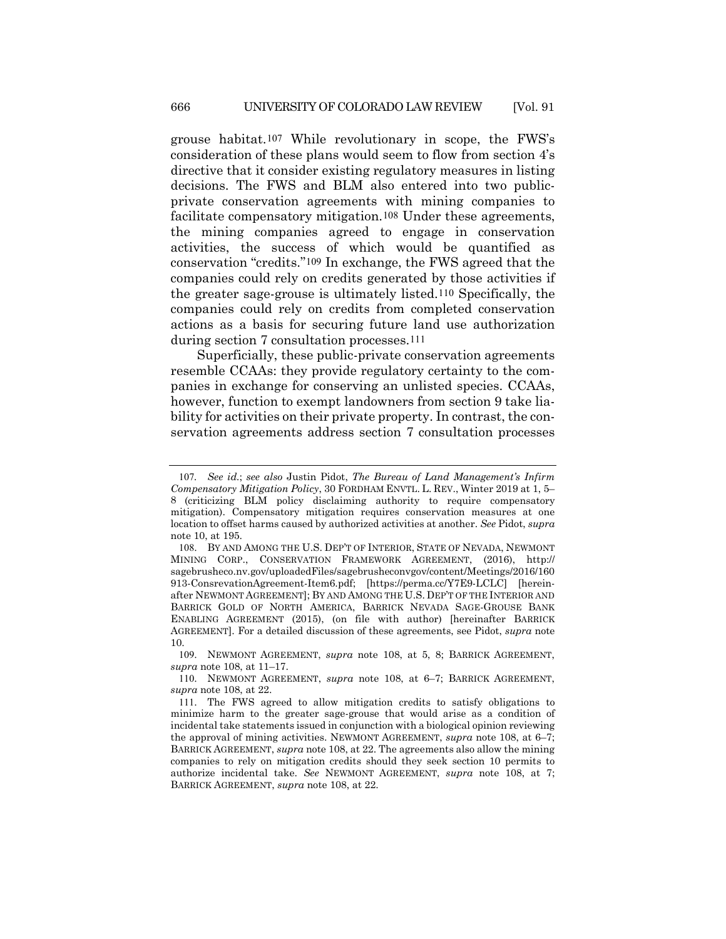<span id="page-17-0"></span>grouse habitat.[107](#page-17-1) While revolutionary in scope, the FWS's consideration of these plans would seem to flow from section 4's directive that it consider existing regulatory measures in listing decisions. The FWS and BLM also entered into two publicprivate conservation agreements with mining companies to facilitate compensatory mitigation.[108](#page-17-2) Under these agreements, the mining companies agreed to engage in conservation activities, the success of which would be quantified as conservation "credits."[109](#page-17-3) In exchange, the FWS agreed that the companies could rely on credits generated by those activities if the greater sage-grouse is ultimately listed.[110](#page-17-4) Specifically, the companies could rely on credits from completed conservation actions as a basis for securing future land use authorization during section 7 consultation processes.[111](#page-17-5)

Superficially, these public-private conservation agreements resemble CCAAs: they provide regulatory certainty to the companies in exchange for conserving an unlisted species. CCAAs, however, function to exempt landowners from section 9 take liability for activities on their private property. In contrast, the conservation agreements address section 7 consultation processes

<span id="page-17-1"></span><sup>107</sup>*. See id.*; *see also* Justin Pidot, *The Bureau of Land Management's Infirm Compensatory Mitigation Policy*, 30 FORDHAM ENVTL. L. REV., Winter 2019 at 1, 5– 8 (criticizing BLM policy disclaiming authority to require compensatory mitigation). Compensatory mitigation requires conservation measures at one location to offset harms caused by authorized activities at another. *See* Pidot, *supra*  note 10, at 195.

<span id="page-17-2"></span><sup>108</sup>. BY AND AMONG THE U.S. DEP'T OF INTERIOR, STATE OF NEVADA, NEWMONT MINING CORP., CONSERVATION FRAMEWORK AGREEMENT, (2016), http:// sagebrusheco.nv.gov/uploadedFiles/sagebrusheconvgov/content/Meetings/2016/160 913-ConsrevationAgreement-Item6.pdf; [https://perma.cc/Y7E9-LCLC] [hereinafter NEWMONT AGREEMENT]; BY AND AMONG THE U.S. DEP'T OF THE INTERIOR AND BARRICK GOLD OF NORTH AMERICA, BARRICK NEVADA SAGE-GROUSE BANK ENABLING AGREEMENT (2015), (on file with author) [hereinafter BARRICK AGREEMENT]. For a detailed discussion of these agreements, see Pidot, *supra* note [10.](#page-1-5)

<span id="page-17-3"></span><sup>109</sup>. NEWMONT AGREEMENT, *supra* note 108, at 5, 8; BARRICK AGREEMENT, *supra* note 108, at 11–17.

<span id="page-17-4"></span><sup>110</sup>. NEWMONT AGREEMENT, *supra* note 108, at 6–7; BARRICK AGREEMENT, *supra* note 108, at 22.

<span id="page-17-5"></span><sup>111</sup>. The FWS agreed to allow mitigation credits to satisfy obligations to minimize harm to the greater sage-grouse that would arise as a condition of incidental take statements issued in conjunction with a biological opinion reviewing the approval of mining activities. NEWMONT AGREEMENT, *supra* note [108,](#page-17-0) at 6–7; BARRICK AGREEMENT, *supra* note 108, at 22. The agreements also allow the mining companies to rely on mitigation credits should they seek section 10 permits to authorize incidental take. *See* NEWMONT AGREEMENT, *supra* note [108,](#page-17-0) at 7; BARRICK AGREEMENT, *supra* note [108,](#page-17-0) at 22.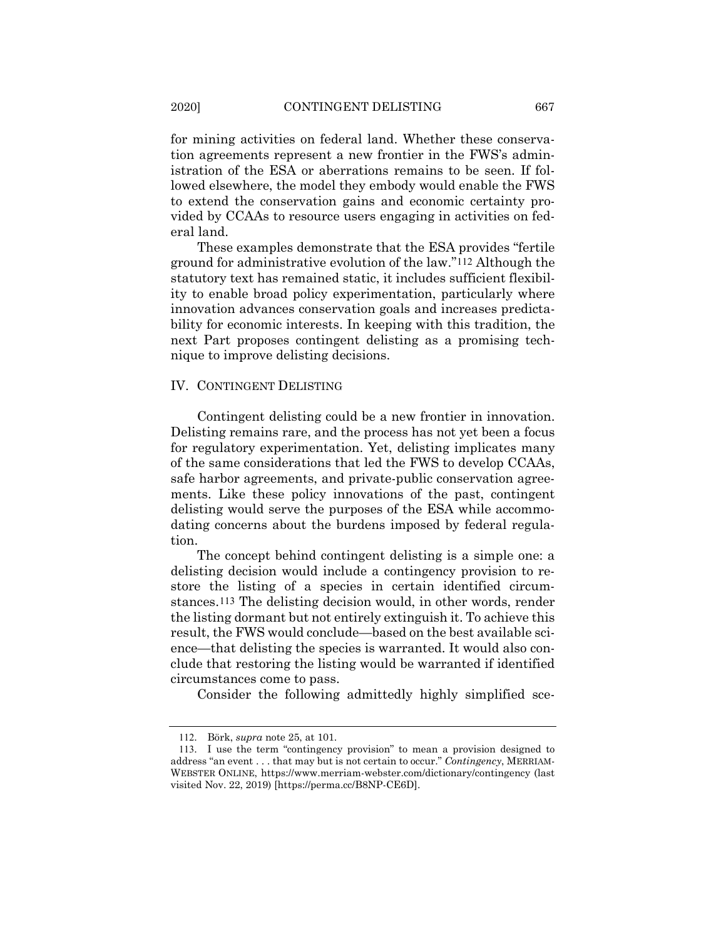for mining activities on federal land. Whether these conservation agreements represent a new frontier in the FWS's administration of the ESA or aberrations remains to be seen. If followed elsewhere, the model they embody would enable the FWS to extend the conservation gains and economic certainty provided by CCAAs to resource users engaging in activities on federal land.

These examples demonstrate that the ESA provides "fertile ground for administrative evolution of the law."[112](#page-18-0) Although the statutory text has remained static, it includes sufficient flexibility to enable broad policy experimentation, particularly where innovation advances conservation goals and increases predictability for economic interests. In keeping with this tradition, the next Part proposes contingent delisting as a promising technique to improve delisting decisions.

# IV. CONTINGENT DELISTING

Contingent delisting could be a new frontier in innovation. Delisting remains rare, and the process has not yet been a focus for regulatory experimentation. Yet, delisting implicates many of the same considerations that led the FWS to develop CCAAs, safe harbor agreements, and private-public conservation agreements. Like these policy innovations of the past, contingent delisting would serve the purposes of the ESA while accommodating concerns about the burdens imposed by federal regulation.

The concept behind contingent delisting is a simple one: a delisting decision would include a contingency provision to restore the listing of a species in certain identified circumstances.[113](#page-18-1) The delisting decision would, in other words, render the listing dormant but not entirely extinguish it. To achieve this result, the FWS would conclude—based on the best available science—that delisting the species is warranted. It would also conclude that restoring the listing would be warranted if identified circumstances come to pass.

Consider the following admittedly highly simplified sce-

<sup>112</sup>. Börk, *supra* note [25,](#page-5-7) at 101.

<span id="page-18-1"></span><span id="page-18-0"></span><sup>113</sup>. I use the term "contingency provision" to mean a provision designed to address "an event . . . that may but is not certain to occur." *Contingency*, MERRIAM-WEBSTER ONLINE, https://www.merriam-webster.com/dictionary/contingency (last visited Nov. 22, 2019) [https://perma.cc/B8NP-CE6D].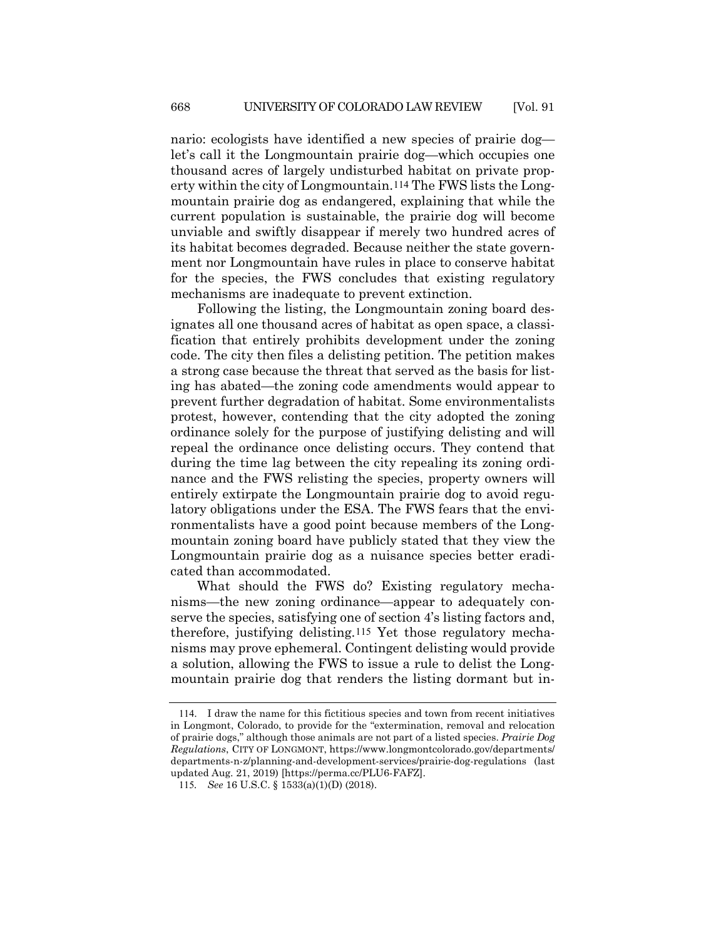nario: ecologists have identified a new species of prairie dog let's call it the Longmountain prairie dog—which occupies one thousand acres of largely undisturbed habitat on private property within the city of Longmountain.[114](#page-19-0) The FWS lists the Longmountain prairie dog as endangered, explaining that while the current population is sustainable, the prairie dog will become unviable and swiftly disappear if merely two hundred acres of its habitat becomes degraded. Because neither the state government nor Longmountain have rules in place to conserve habitat for the species, the FWS concludes that existing regulatory mechanisms are inadequate to prevent extinction.

Following the listing, the Longmountain zoning board designates all one thousand acres of habitat as open space, a classification that entirely prohibits development under the zoning code. The city then files a delisting petition. The petition makes a strong case because the threat that served as the basis for listing has abated—the zoning code amendments would appear to prevent further degradation of habitat. Some environmentalists protest, however, contending that the city adopted the zoning ordinance solely for the purpose of justifying delisting and will repeal the ordinance once delisting occurs. They contend that during the time lag between the city repealing its zoning ordinance and the FWS relisting the species, property owners will entirely extirpate the Longmountain prairie dog to avoid regulatory obligations under the ESA. The FWS fears that the environmentalists have a good point because members of the Longmountain zoning board have publicly stated that they view the Longmountain prairie dog as a nuisance species better eradicated than accommodated.

What should the FWS do? Existing regulatory mechanisms—the new zoning ordinance—appear to adequately conserve the species, satisfying one of section 4's listing factors and, therefore, justifying delisting.[115](#page-19-1) Yet those regulatory mechanisms may prove ephemeral. Contingent delisting would provide a solution, allowing the FWS to issue a rule to delist the Longmountain prairie dog that renders the listing dormant but in-

<span id="page-19-0"></span><sup>114</sup>. I draw the name for this fictitious species and town from recent initiatives in Longmont, Colorado, to provide for the "extermination, removal and relocation of prairie dogs," although those animals are not part of a listed species. *Prairie Dog Regulations*, CITY OF LONGMONT, https://www.longmontcolorado.gov/departments/ departments-n-z/planning-and-development-services/prairie-dog-regulations (last updated Aug. 21, 2019) [https://perma.cc/PLU6-FAFZ].

<span id="page-19-1"></span><sup>115</sup>*. See* 16 U.S.C. § 1533(a)(1)(D) (2018).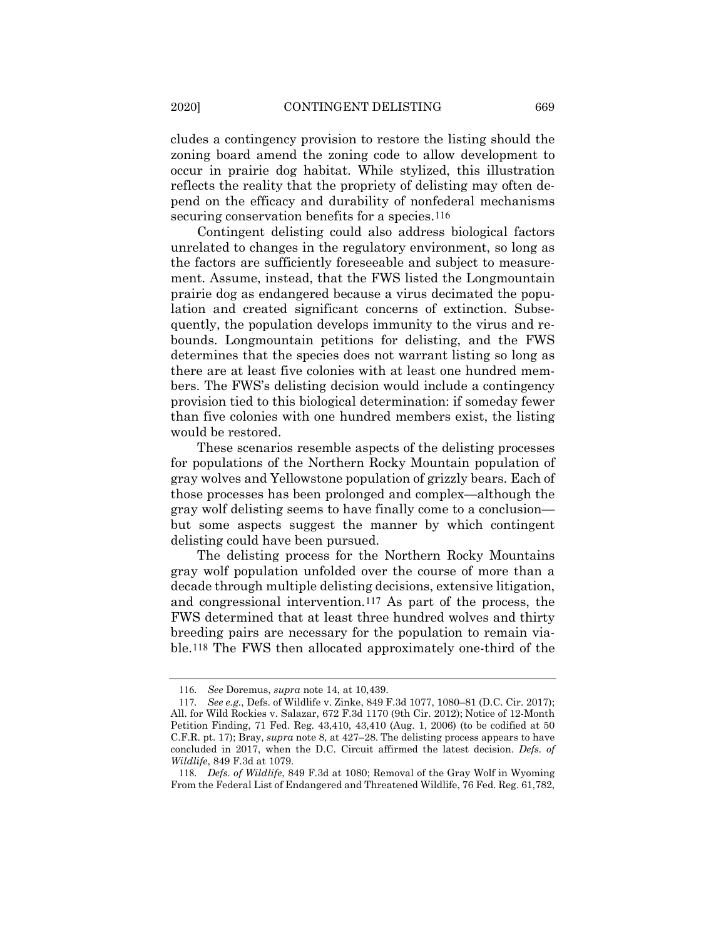cludes a contingency provision to restore the listing should the zoning board amend the zoning code to allow development to occur in prairie dog habitat. While stylized, this illustration reflects the reality that the propriety of delisting may often depend on the efficacy and durability of nonfederal mechanisms securing conservation benefits for a species.<sup>[116](#page-20-0)</sup>

Contingent delisting could also address biological factors unrelated to changes in the regulatory environment, so long as the factors are sufficiently foreseeable and subject to measurement. Assume, instead, that the FWS listed the Longmountain prairie dog as endangered because a virus decimated the population and created significant concerns of extinction. Subsequently, the population develops immunity to the virus and rebounds. Longmountain petitions for delisting, and the FWS determines that the species does not warrant listing so long as there are at least five colonies with at least one hundred members. The FWS's delisting decision would include a contingency provision tied to this biological determination: if someday fewer than five colonies with one hundred members exist, the listing would be restored.

These scenarios resemble aspects of the delisting processes for populations of the Northern Rocky Mountain population of gray wolves and Yellowstone population of grizzly bears. Each of those processes has been prolonged and complex—although the gray wolf delisting seems to have finally come to a conclusion but some aspects suggest the manner by which contingent delisting could have been pursued.

The delisting process for the Northern Rocky Mountains gray wolf population unfolded over the course of more than a decade through multiple delisting decisions, extensive litigation, and congressional intervention.[117](#page-20-1) As part of the process, the FWS determined that at least three hundred wolves and thirty breeding pairs are necessary for the population to remain viable.[118](#page-20-2) The FWS then allocated approximately one-third of the

<sup>116</sup>*. See* Doremus, *supra* note [14,](#page-2-8) at 10,439.

<span id="page-20-1"></span><span id="page-20-0"></span><sup>117</sup>*. See e.g.*, Defs. of Wildlife v. Zinke, 849 F.3d 1077, 1080–81 (D.C. Cir. 2017); All. for Wild Rockies v. Salazar, 672 F.3d 1170 (9th Cir. 2012); Notice of 12-Month Petition Finding, 71 Fed. Reg. 43,410, 43,410 (Aug. 1, 2006) (to be codified at 50 C.F.R. pt. 17); Bray, *supra* note [8,](#page-1-8) at 427–28. The delisting process appears to have concluded in 2017, when the D.C. Circuit affirmed the latest decision. *Defs. of Wildlife*, 849 F.3d at 1079.

<span id="page-20-2"></span><sup>118</sup>*. Defs. of Wildlife*, 849 F.3d at 1080; Removal of the Gray Wolf in Wyoming From the Federal List of Endangered and Threatened Wildlife, 76 Fed. Reg. 61,782,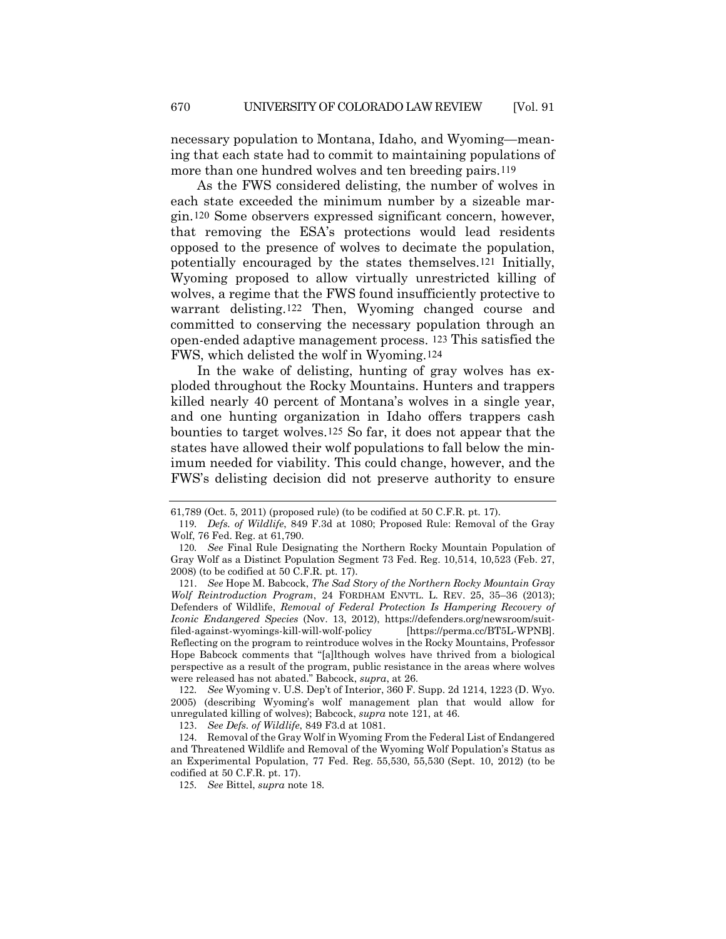necessary population to Montana, Idaho, and Wyoming—meaning that each state had to commit to maintaining populations of more than one hundred wolves and ten breeding pairs.[119](#page-21-1)

<span id="page-21-0"></span>As the FWS considered delisting, the number of wolves in each state exceeded the minimum number by a sizeable margin.[120](#page-21-2) Some observers expressed significant concern, however, that removing the ESA's protections would lead residents opposed to the presence of wolves to decimate the population, potentially encouraged by the states themselves.[121](#page-21-3) Initially, Wyoming proposed to allow virtually unrestricted killing of wolves, a regime that the FWS found insufficiently protective to warrant delisting.[122](#page-21-4) Then, Wyoming changed course and committed to conserving the necessary population through an open-ended adaptive management process. [123](#page-21-5) This satisfied the FWS, which delisted the wolf in Wyoming.[124](#page-21-6)

In the wake of delisting, hunting of gray wolves has exploded throughout the Rocky Mountains. Hunters and trappers killed nearly 40 percent of Montana's wolves in a single year, and one hunting organization in Idaho offers trappers cash bounties to target wolves.[125](#page-21-7) So far, it does not appear that the states have allowed their wolf populations to fall below the minimum needed for viability. This could change, however, and the FWS's delisting decision did not preserve authority to ensure

<sup>61,789 (</sup>Oct. 5, 2011) (proposed rule) (to be codified at 50 C.F.R. pt. 17).

<span id="page-21-1"></span><sup>119</sup>*. Defs. of Wildlife*, 849 F.3d at 1080; Proposed Rule: Removal of the Gray Wolf, 76 Fed. Reg. at 61,790.

<span id="page-21-2"></span><sup>120</sup>*. See* Final Rule Designating the Northern Rocky Mountain Population of Gray Wolf as a Distinct Population Segment 73 Fed. Reg. 10,514, 10,523 (Feb. 27, 2008) (to be codified at 50 C.F.R. pt. 17).

<span id="page-21-3"></span><sup>121</sup>. *See* Hope M. Babcock, *The Sad Story of the Northern Rocky Mountain Gray Wolf Reintroduction Program*, 24 FORDHAM ENVTL. L. REV. 25, 35–36 (2013); Defenders of Wildlife, *Removal of Federal Protection Is Hampering Recovery of Iconic Endangered Species* (Nov. 13, 2012), https://defenders.org/newsroom/suitfiled-against-wyomings-kill-will-wolf-policy [https://perma.cc/BT5L-WPNB]. Reflecting on the program to reintroduce wolves in the Rocky Mountains, Professor Hope Babcock comments that "[a]lthough wolves have thrived from a biological perspective as a result of the program, public resistance in the areas where wolves were released has not abated." Babcock, *supra*, at 26.

<span id="page-21-4"></span><sup>122</sup>*. See* Wyoming v. U.S. Dep't of Interior, 360 F. Supp. 2d 1214, 1223 (D. Wyo. 2005) (describing Wyoming's wolf management plan that would allow for unregulated killing of wolves); Babcock, *supra* note [121,](#page-21-0) at 46.

<sup>123</sup>. *See Defs. of Wildlife*, 849 F3.d at 1081.

<span id="page-21-7"></span><span id="page-21-6"></span><span id="page-21-5"></span><sup>124</sup>. Removal of the Gray Wolf in Wyoming From the Federal List of Endangered and Threatened Wildlife and Removal of the Wyoming Wolf Population's Status as an Experimental Population, 77 Fed. Reg. 55,530, 55,530 (Sept. 10, 2012) (to be codified at 50 C.F.R. pt. 17).

<sup>125</sup>*. See* Bittel, *supra* note [18.](#page-2-10)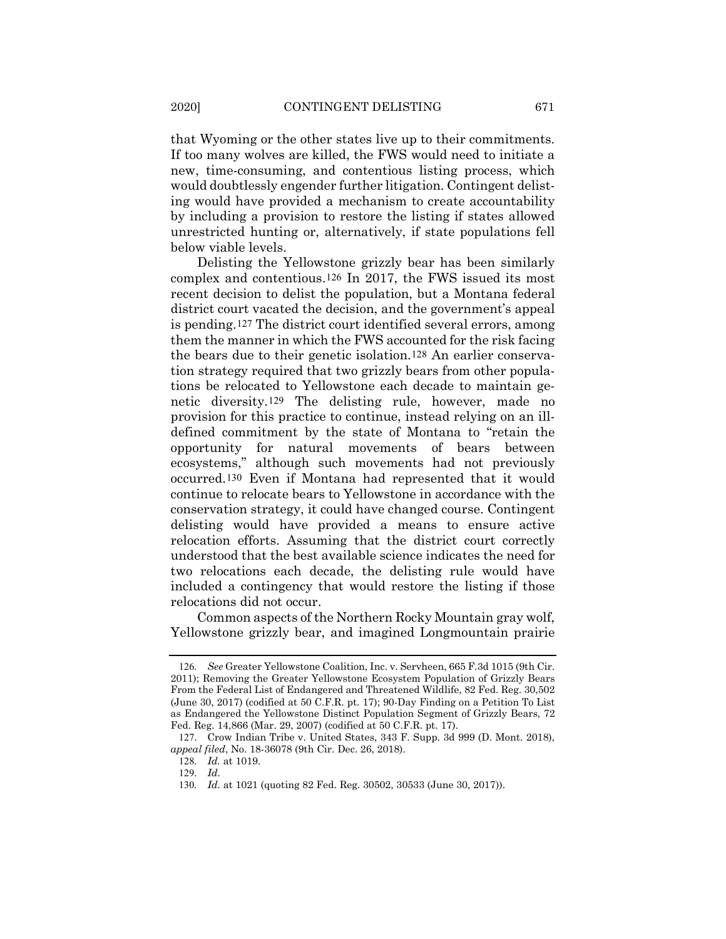that Wyoming or the other states live up to their commitments. If too many wolves are killed, the FWS would need to initiate a new, time-consuming, and contentious listing process, which would doubtlessly engender further litigation. Contingent delisting would have provided a mechanism to create accountability by including a provision to restore the listing if states allowed unrestricted hunting or, alternatively, if state populations fell below viable levels.

Delisting the Yellowstone grizzly bear has been similarly complex and contentious.[126](#page-22-0) In 2017, the FWS issued its most recent decision to delist the population, but a Montana federal district court vacated the decision, and the government's appeal is pending.[127](#page-22-1) The district court identified several errors, among them the manner in which the FWS accounted for the risk facing the bears due to their genetic isolation.[128](#page-22-2) An earlier conservation strategy required that two grizzly bears from other populations be relocated to Yellowstone each decade to maintain genetic diversity.[129](#page-22-3) The delisting rule, however, made no provision for this practice to continue, instead relying on an illdefined commitment by the state of Montana to "retain the opportunity for natural movements of bears between ecosystems," although such movements had not previously occurred.[130](#page-22-4) Even if Montana had represented that it would continue to relocate bears to Yellowstone in accordance with the conservation strategy, it could have changed course. Contingent delisting would have provided a means to ensure active relocation efforts. Assuming that the district court correctly understood that the best available science indicates the need for two relocations each decade, the delisting rule would have included a contingency that would restore the listing if those relocations did not occur.

Common aspects of the Northern Rocky Mountain gray wolf, Yellowstone grizzly bear, and imagined Longmountain prairie

<span id="page-22-0"></span><sup>126</sup>*. See* Greater Yellowstone Coalition, Inc. v. Servheen, 665 F.3d 1015 (9th Cir. 2011); Removing the Greater Yellowstone Ecosystem Population of Grizzly Bears From the Federal List of Endangered and Threatened Wildlife, 82 Fed. Reg. 30,502 (June 30, 2017) (codified at 50 C.F.R. pt. 17); 90-Day Finding on a Petition To List as Endangered the Yellowstone Distinct Population Segment of Grizzly Bears, 72 Fed. Reg. 14,866 (Mar. 29, 2007) (codified at 50 C.F.R. pt. 17).

<span id="page-22-4"></span><span id="page-22-3"></span><span id="page-22-2"></span><span id="page-22-1"></span><sup>127</sup>. Crow Indian Tribe v. United States, 343 F. Supp. 3d 999 (D. Mont. 2018), *appeal filed*, No. 18-36078 (9th Cir. Dec. 26, 2018).

<sup>128</sup>*. Id.* at 1019.

<sup>129</sup>. *Id.*

<sup>130</sup>*. Id.* at 1021 (quoting 82 Fed. Reg. 30502, 30533 (June 30, 2017)).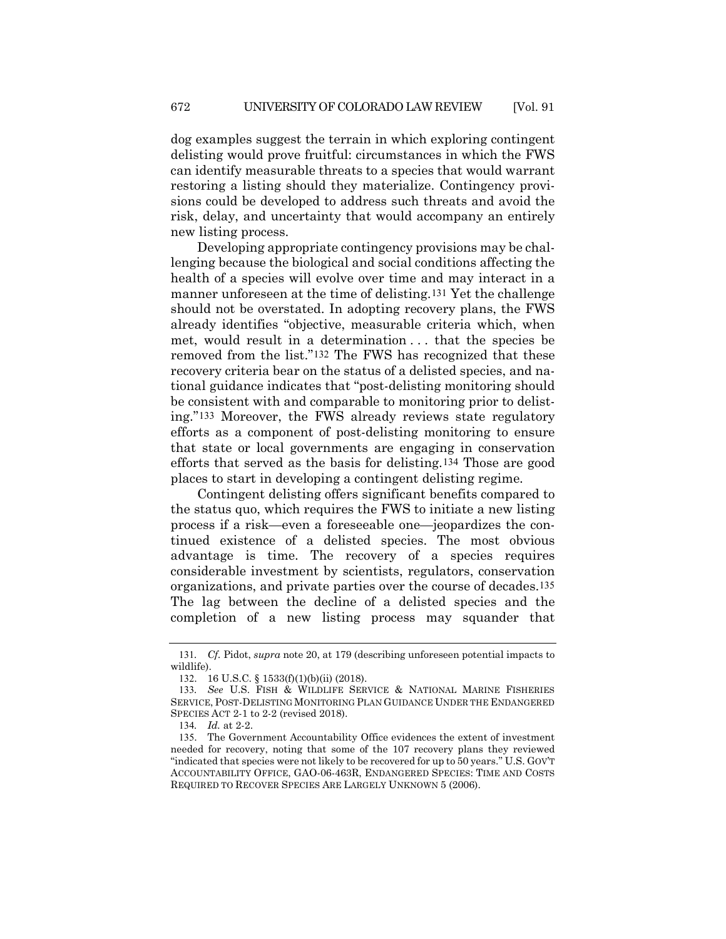dog examples suggest the terrain in which exploring contingent delisting would prove fruitful: circumstances in which the FWS can identify measurable threats to a species that would warrant restoring a listing should they materialize. Contingency provisions could be developed to address such threats and avoid the risk, delay, and uncertainty that would accompany an entirely new listing process.

Developing appropriate contingency provisions may be challenging because the biological and social conditions affecting the health of a species will evolve over time and may interact in a manner unforeseen at the time of delisting.[131](#page-23-0) Yet the challenge should not be overstated. In adopting recovery plans, the FWS already identifies "objective, measurable criteria which, when met, would result in a determination . . . that the species be removed from the list."[132](#page-23-1) The FWS has recognized that these recovery criteria bear on the status of a delisted species, and national guidance indicates that "post-delisting monitoring should be consistent with and comparable to monitoring prior to delisting."[133](#page-23-2) Moreover, the FWS already reviews state regulatory efforts as a component of post-delisting monitoring to ensure that state or local governments are engaging in conservation efforts that served as the basis for delisting.[134](#page-23-3) Those are good places to start in developing a contingent delisting regime.

Contingent delisting offers significant benefits compared to the status quo, which requires the FWS to initiate a new listing process if a risk—even a foreseeable one—jeopardizes the continued existence of a delisted species. The most obvious advantage is time. The recovery of a species requires considerable investment by scientists, regulators, conservation organizations, and private parties over the course of decades.[135](#page-23-4) The lag between the decline of a delisted species and the completion of a new listing process may squander that

<span id="page-23-0"></span><sup>131</sup>*. Cf.* Pidot, *supra* note [20,](#page-3-0) at 179 (describing unforeseen potential impacts to wildlife).

<sup>132</sup>. 16 U.S.C. § 1533(f)(1)(b)(ii) (2018).

<span id="page-23-2"></span><span id="page-23-1"></span><sup>133</sup>*. See* U.S. FISH & WILDLIFE SERVICE & NATIONAL MARINE FISHERIES SERVICE, POST-DELISTING MONITORING PLAN GUIDANCE UNDER THE ENDANGERED SPECIES ACT 2-1 to 2-2 (revised 2018).

<sup>134</sup>*. Id.* at 2-2.

<span id="page-23-4"></span><span id="page-23-3"></span><sup>135</sup>. The Government Accountability Office evidences the extent of investment needed for recovery, noting that some of the 107 recovery plans they reviewed "indicated that species were not likely to be recovered for up to 50 years." U.S. GOV'T ACCOUNTABILITY OFFICE, GAO-06-463R, ENDANGERED SPECIES: TIME AND COSTS REQUIRED TO RECOVER SPECIES ARE LARGELY UNKNOWN 5 (2006).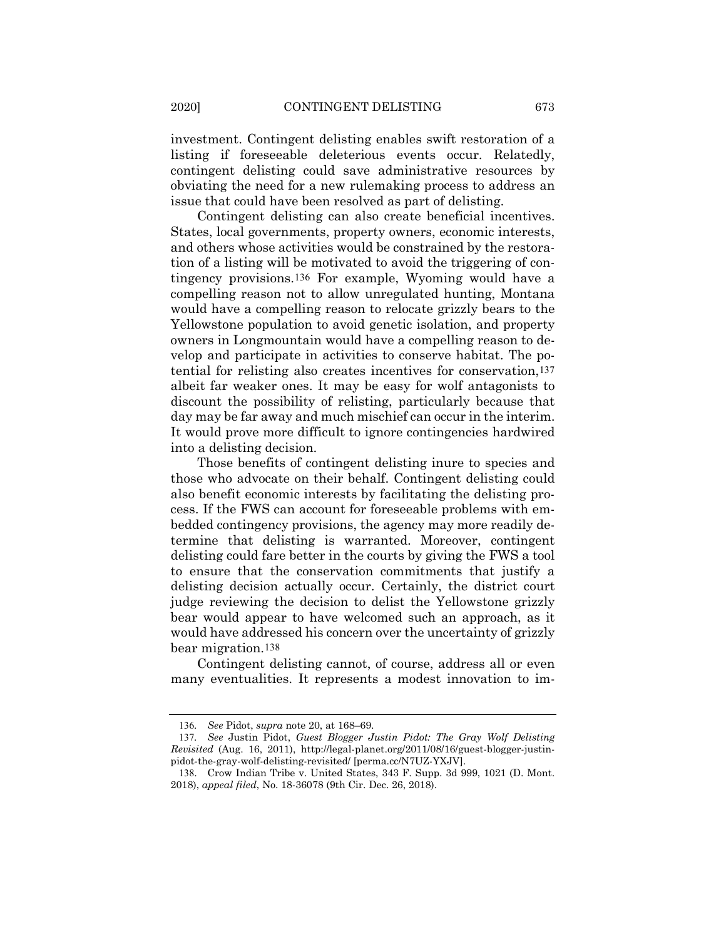investment. Contingent delisting enables swift restoration of a listing if foreseeable deleterious events occur. Relatedly, contingent delisting could save administrative resources by obviating the need for a new rulemaking process to address an issue that could have been resolved as part of delisting.

Contingent delisting can also create beneficial incentives. States, local governments, property owners, economic interests, and others whose activities would be constrained by the restoration of a listing will be motivated to avoid the triggering of contingency provisions.[136](#page-24-0) For example, Wyoming would have a compelling reason not to allow unregulated hunting, Montana would have a compelling reason to relocate grizzly bears to the Yellowstone population to avoid genetic isolation, and property owners in Longmountain would have a compelling reason to develop and participate in activities to conserve habitat. The potential for relisting also creates incentives for conservation,[137](#page-24-1) albeit far weaker ones. It may be easy for wolf antagonists to discount the possibility of relisting, particularly because that day may be far away and much mischief can occur in the interim. It would prove more difficult to ignore contingencies hardwired into a delisting decision.

Those benefits of contingent delisting inure to species and those who advocate on their behalf. Contingent delisting could also benefit economic interests by facilitating the delisting process. If the FWS can account for foreseeable problems with embedded contingency provisions, the agency may more readily determine that delisting is warranted. Moreover, contingent delisting could fare better in the courts by giving the FWS a tool to ensure that the conservation commitments that justify a delisting decision actually occur. Certainly, the district court judge reviewing the decision to delist the Yellowstone grizzly bear would appear to have welcomed such an approach, as it would have addressed his concern over the uncertainty of grizzly bear migration.[138](#page-24-2)

Contingent delisting cannot, of course, address all or even many eventualities. It represents a modest innovation to im-

<sup>136</sup>*. See* Pidot, *supra* note [20,](#page-3-0) at 168–69.

<span id="page-24-1"></span><span id="page-24-0"></span><sup>137</sup>*. See* Justin Pidot, *Guest Blogger Justin Pidot: The Gray Wolf Delisting Revisited* (Aug. 16, 2011), http://legal-planet.org/2011/08/16/guest-blogger-justinpidot-the-gray-wolf-delisting-revisited/ [perma.cc/N7UZ-YXJV].

<span id="page-24-2"></span><sup>138</sup>. Crow Indian Tribe v. United States, 343 F. Supp. 3d 999, 1021 (D. Mont. 2018), *appeal filed*, No. 18-36078 (9th Cir. Dec. 26, 2018).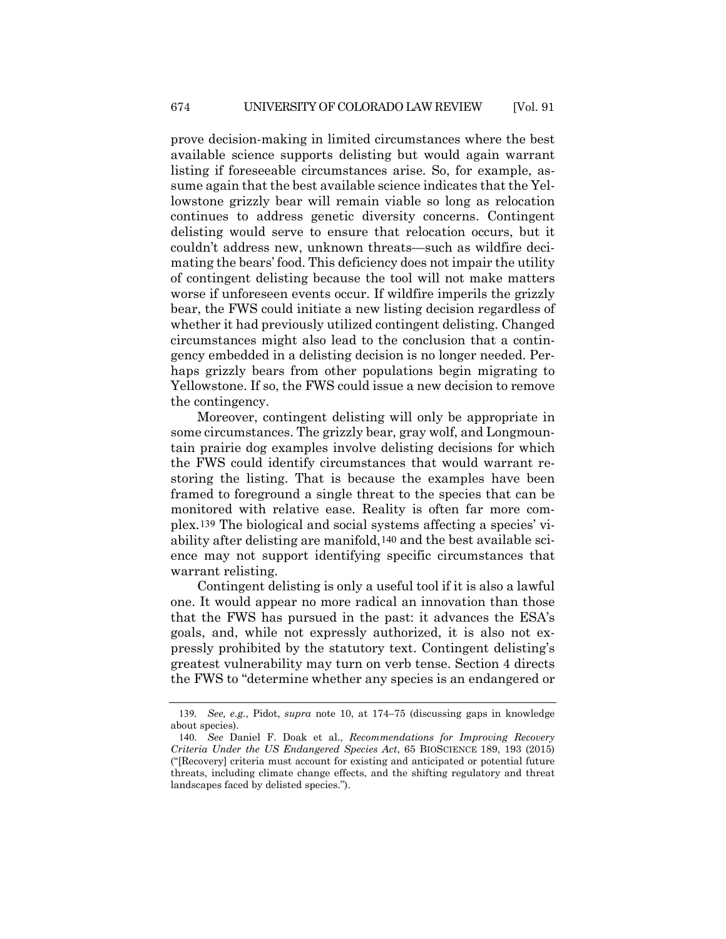prove decision-making in limited circumstances where the best available science supports delisting but would again warrant listing if foreseeable circumstances arise. So, for example, assume again that the best available science indicates that the Yellowstone grizzly bear will remain viable so long as relocation continues to address genetic diversity concerns. Contingent delisting would serve to ensure that relocation occurs, but it couldn't address new, unknown threats—such as wildfire decimating the bears' food. This deficiency does not impair the utility of contingent delisting because the tool will not make matters worse if unforeseen events occur. If wildfire imperils the grizzly bear, the FWS could initiate a new listing decision regardless of whether it had previously utilized contingent delisting. Changed circumstances might also lead to the conclusion that a contingency embedded in a delisting decision is no longer needed. Perhaps grizzly bears from other populations begin migrating to Yellowstone. If so, the FWS could issue a new decision to remove the contingency.

Moreover, contingent delisting will only be appropriate in some circumstances. The grizzly bear, gray wolf, and Longmountain prairie dog examples involve delisting decisions for which the FWS could identify circumstances that would warrant restoring the listing. That is because the examples have been framed to foreground a single threat to the species that can be monitored with relative ease. Reality is often far more complex.[139](#page-25-0) The biological and social systems affecting a species' viability after delisting are manifold,[140](#page-25-1) and the best available science may not support identifying specific circumstances that warrant relisting.

Contingent delisting is only a useful tool if it is also a lawful one. It would appear no more radical an innovation than those that the FWS has pursued in the past: it advances the ESA's goals, and, while not expressly authorized, it is also not expressly prohibited by the statutory text. Contingent delisting's greatest vulnerability may turn on verb tense. Section 4 directs the FWS to "determine whether any species is an endangered or

<span id="page-25-0"></span><sup>139</sup>*. See, e.g.*, Pidot, *supra* note [10,](#page-1-5) at 174–75 (discussing gaps in knowledge about species).

<span id="page-25-1"></span><sup>140</sup>*. See* Daniel F. Doak et al., *Recommendations for Improving Recovery Criteria Under the US Endangered Species Act*, 65 BIOSCIENCE 189, 193 (2015) ("[Recovery] criteria must account for existing and anticipated or potential future threats, including climate change effects, and the shifting regulatory and threat landscapes faced by delisted species.").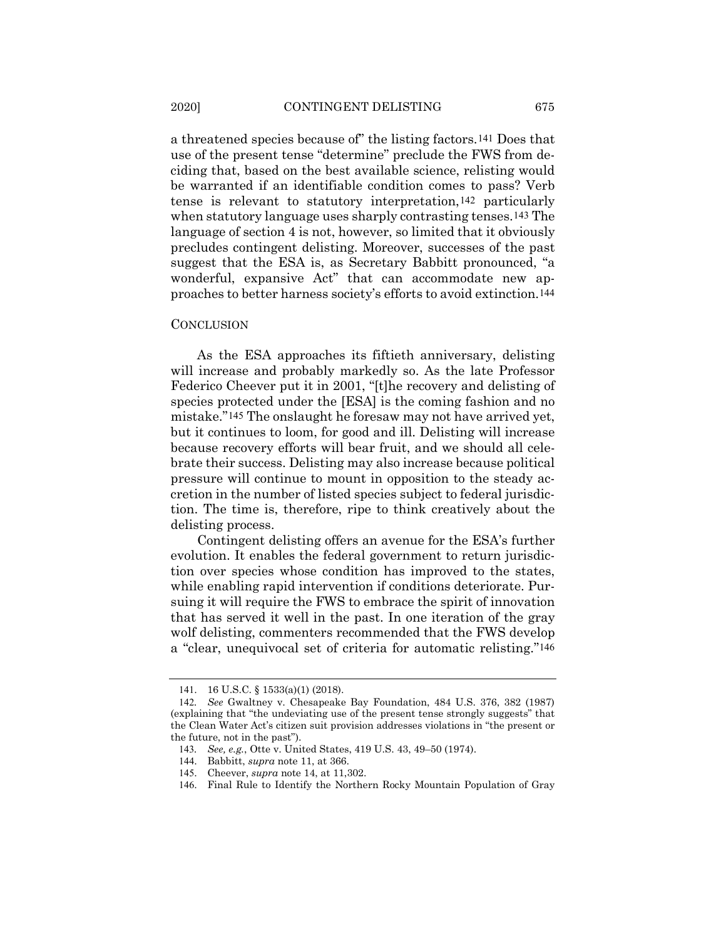a threatened species because of" the listing factors.[141](#page-26-0) Does that use of the present tense "determine" preclude the FWS from deciding that, based on the best available science, relisting would be warranted if an identifiable condition comes to pass? Verb tense is relevant to statutory interpretation,[142](#page-26-1) particularly when statutory language uses sharply contrasting tenses.[143](#page-26-2) The language of section 4 is not, however, so limited that it obviously precludes contingent delisting. Moreover, successes of the past suggest that the ESA is, as Secretary Babbitt pronounced, "a wonderful, expansive Act" that can accommodate new approaches to better harness society's efforts to avoid extinction.[144](#page-26-3)

#### **CONCLUSION**

As the ESA approaches its fiftieth anniversary, delisting will increase and probably markedly so. As the late Professor Federico Cheever put it in 2001, "[t]he recovery and delisting of species protected under the [ESA] is the coming fashion and no mistake."[145](#page-26-4) The onslaught he foresaw may not have arrived yet, but it continues to loom, for good and ill. Delisting will increase because recovery efforts will bear fruit, and we should all celebrate their success. Delisting may also increase because political pressure will continue to mount in opposition to the steady accretion in the number of listed species subject to federal jurisdiction. The time is, therefore, ripe to think creatively about the delisting process.

Contingent delisting offers an avenue for the ESA's further evolution. It enables the federal government to return jurisdiction over species whose condition has improved to the states, while enabling rapid intervention if conditions deteriorate. Pursuing it will require the FWS to embrace the spirit of innovation that has served it well in the past. In one iteration of the gray wolf delisting, commenters recommended that the FWS develop a "clear, unequivocal set of criteria for automatic relisting."[146](#page-26-5)

<sup>141</sup>. 16 U.S.C. § 1533(a)(1) (2018).

<span id="page-26-3"></span><span id="page-26-2"></span><span id="page-26-1"></span><span id="page-26-0"></span><sup>142</sup>*. See* Gwaltney v. Chesapeake Bay Foundation, 484 U.S. 376, 382 (1987) (explaining that "the undeviating use of the present tense strongly suggests" that the Clean Water Act's citizen suit provision addresses violations in "the present or the future, not in the past").

<sup>143</sup>*. See, e.g.*, Otte v. United States, 419 U.S. 43, 49–50 (1974).

<sup>144</sup>. Babbitt, *supra* not[e 11,](#page-2-11) at 366.

<span id="page-26-4"></span><sup>145</sup>. Cheever, *supra* note [14,](#page-2-8) at 11,302.

<span id="page-26-5"></span><sup>146</sup>. Final Rule to Identify the Northern Rocky Mountain Population of Gray